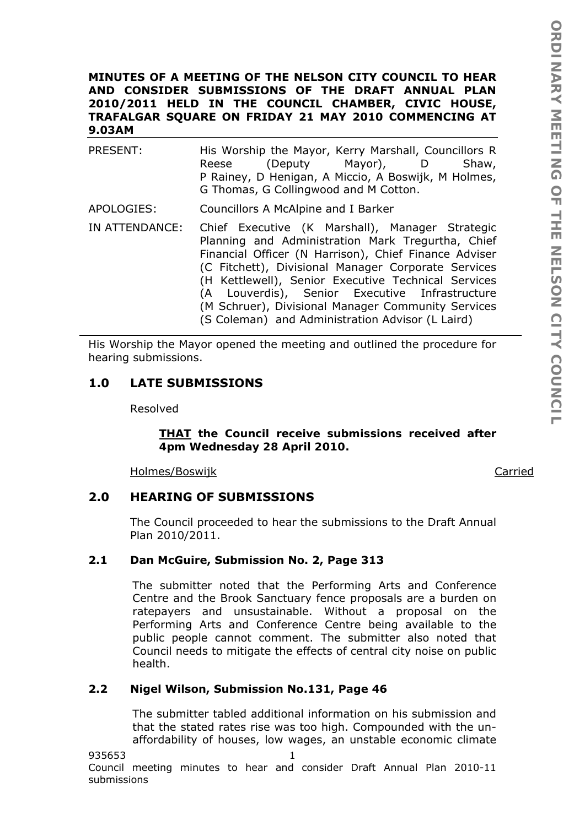## **MINUTES OF A MEETING OF THE NELSON CITY COUNCIL TO HEAR AND CONSIDER SUBMISSIONS OF THE DRAFT ANNUAL PLAN 2010/2011 HELD IN THE COUNCIL CHAMBER, CIVIC HOUSE, TRAFALGAR SQUARE ON FRIDAY 21 MAY 2010 COMMENCING AT 9.03AM**

PRESENT: His Worship the Mayor, Kerry Marshall, Councillors R Reese (Deputy Mayor), D Shaw, P Rainey, D Henigan, A Miccio, A Boswijk, M Holmes, G Thomas, G Collingwood and M Cotton.

APOLOGIES: Councillors A McAlpine and I Barker

IN ATTENDANCE: Chief Executive (K Marshall), Manager Strategic Planning and Administration Mark Tregurtha, Chief Financial Officer (N Harrison), Chief Finance Adviser (C Fitchett), Divisional Manager Corporate Services (H Kettlewell), Senior Executive Technical Services (A Louverdis), Senior Executive Infrastructure (M Schruer), Divisional Manager Community Services (S Coleman) and Administration Advisor (L Laird)

His Worship the Mayor opened the meeting and outlined the procedure for hearing submissions.

# **1.0 LATE SUBMISSIONS**

Resolved

*THAT the Council receive submissions received after 4pm Wednesday 28 April 2010.* 

Holmes/Boswijk **Carried** 

# **2.0 HEARING OF SUBMISSIONS**

The Council proceeded to hear the submissions to the Draft Annual Plan 2010/2011.

# **2.1 Dan McGuire, Submission No. 2, Page 313**

The submitter noted that the Performing Arts and Conference Centre and the Brook Sanctuary fence proposals are a burden on ratepayers and unsustainable. Without a proposal on the Performing Arts and Conference Centre being available to the public people cannot comment. The submitter also noted that Council needs to mitigate the effects of central city noise on public health.

# **2.2 Nigel Wilson, Submission No.131, Page 46**

The submitter tabled additional information on his submission and that the stated rates rise was too high. Compounded with the unaffordability of houses, low wages, an unstable economic climate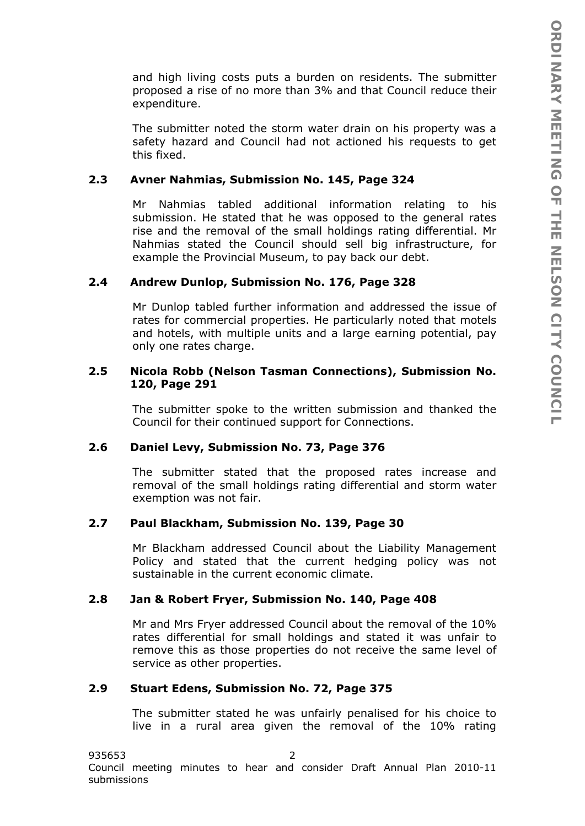and high living costs puts a burden on residents. The submitter proposed a rise of no more than 3% and that Council reduce their expenditure.

The submitter noted the storm water drain on his property was a safety hazard and Council had not actioned his requests to get this fixed.

## **2.3 Avner Nahmias, Submission No. 145, Page 324**

Mr Nahmias tabled additional information relating to his submission. He stated that he was opposed to the general rates rise and the removal of the small holdings rating differential. Mr Nahmias stated the Council should sell big infrastructure, for example the Provincial Museum, to pay back our debt.

#### **2.4 Andrew Dunlop, Submission No. 176, Page 328**

Mr Dunlop tabled further information and addressed the issue of rates for commercial properties. He particularly noted that motels and hotels, with multiple units and a large earning potential, pay only one rates charge.

## **2.5 Nicola Robb (Nelson Tasman Connections), Submission No. 120, Page 291**

The submitter spoke to the written submission and thanked the Council for their continued support for Connections.

#### **2.6 Daniel Levy, Submission No. 73, Page 376**

The submitter stated that the proposed rates increase and removal of the small holdings rating differential and storm water exemption was not fair.

#### **2.7 Paul Blackham, Submission No. 139, Page 30**

Mr Blackham addressed Council about the Liability Management Policy and stated that the current hedging policy was not sustainable in the current economic climate.

# **2.8 Jan & Robert Fryer, Submission No. 140, Page 408**

Mr and Mrs Fryer addressed Council about the removal of the 10% rates differential for small holdings and stated it was unfair to remove this as those properties do not receive the same level of service as other properties.

#### **2.9 Stuart Edens, Submission No. 72, Page 375**

The submitter stated he was unfairly penalised for his choice to live in a rural area given the removal of the 10% rating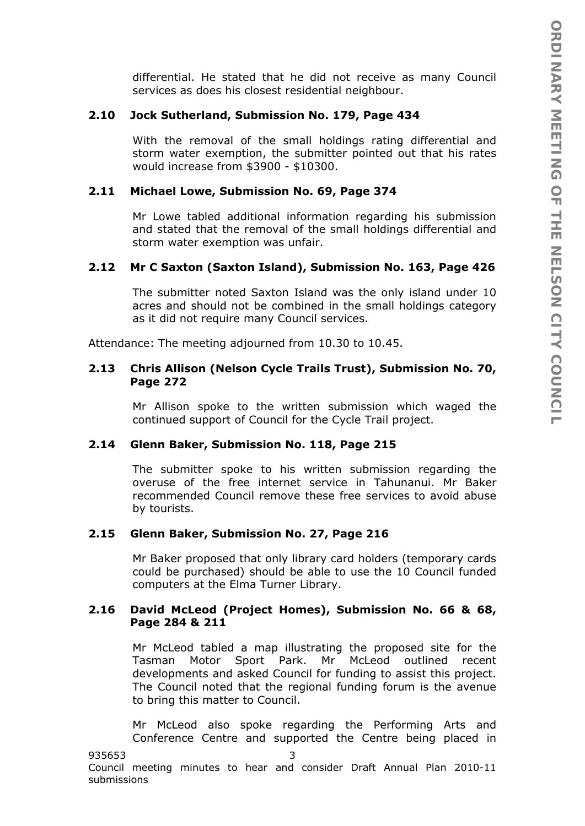differential. He stated that he did not receive as many Council services as does his closest residential neighbour.

## **2.10 Jock Sutherland, Submission No. 179, Page 434**

With the removal of the small holdings rating differential and storm water exemption, the submitter pointed out that his rates would increase from \$3900 - \$10300.

# **2.11 Michael Lowe, Submission No. 69, Page 374**

Mr Lowe tabled additional information regarding his submission and stated that the removal of the small holdings differential and storm water exemption was unfair.

# **2.12 Mr C Saxton (Saxton Island), Submission No. 163, Page 426**

The submitter noted Saxton Island was the only island under 10 acres and should not be combined in the small holdings category as it did not require many Council services.

Attendance: The meeting adjourned from 10.30 to 10.45.

# **2.13 Chris Allison (Nelson Cycle Trails Trust), Submission No. 70, Page 272**

Mr Allison spoke to the written submission which waged the continued support of Council for the Cycle Trail project.

### **2.14 Glenn Baker, Submission No. 118, Page 215**

The submitter spoke to his written submission regarding the overuse of the free internet service in Tahunanui. Mr Baker recommended Council remove these free services to avoid abuse by tourists.

### **2.15 Glenn Baker, Submission No. 27, Page 216**

Mr Baker proposed that only library card holders (temporary cards could be purchased) should be able to use the 10 Council funded computers at the Elma Turner Library.

# **2.16 David McLeod (Project Homes), Submission No. 66 & 68, Page 284 & 211**

Mr McLeod tabled a map illustrating the proposed site for the Tasman Motor Sport Park. Mr McLeod outlined recent developments and asked Council for funding to assist this project. The Council noted that the regional funding forum is the avenue to bring this matter to Council.

Mr McLeod also spoke regarding the Performing Arts and Conference Centre and supported the Centre being placed in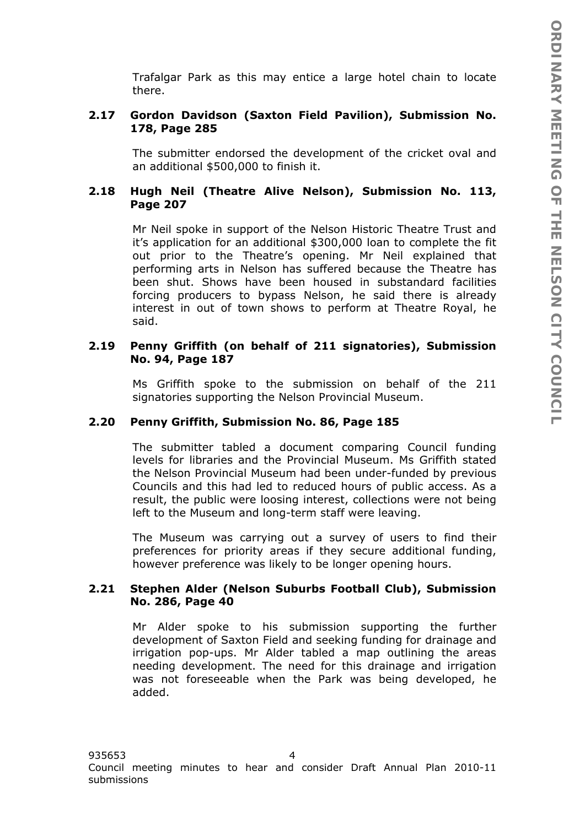Trafalgar Park as this may entice a large hotel chain to locate there.

# **2.17 Gordon Davidson (Saxton Field Pavilion), Submission No. 178, Page 285**

The submitter endorsed the development of the cricket oval and an additional \$500,000 to finish it.

# **2.18 Hugh Neil (Theatre Alive Nelson), Submission No. 113, Page 207**

Mr Neil spoke in support of the Nelson Historic Theatre Trust and it's application for an additional \$300,000 loan to complete the fit out prior to the Theatre's opening. Mr Neil explained that performing arts in Nelson has suffered because the Theatre has been shut. Shows have been housed in substandard facilities forcing producers to bypass Nelson, he said there is already interest in out of town shows to perform at Theatre Royal, he said.

# **2.19 Penny Griffith (on behalf of 211 signatories), Submission No. 94, Page 187**

Ms Griffith spoke to the submission on behalf of the 211 signatories supporting the Nelson Provincial Museum.

### **2.20 Penny Griffith, Submission No. 86, Page 185**

The submitter tabled a document comparing Council funding levels for libraries and the Provincial Museum. Ms Griffith stated the Nelson Provincial Museum had been under-funded by previous Councils and this had led to reduced hours of public access. As a result, the public were loosing interest, collections were not being left to the Museum and long-term staff were leaving.

The Museum was carrying out a survey of users to find their preferences for priority areas if they secure additional funding, however preference was likely to be longer opening hours.

# **2.21 Stephen Alder (Nelson Suburbs Football Club), Submission No. 286, Page 40**

Mr Alder spoke to his submission supporting the further development of Saxton Field and seeking funding for drainage and irrigation pop-ups. Mr Alder tabled a map outlining the areas needing development. The need for this drainage and irrigation was not foreseeable when the Park was being developed, he added.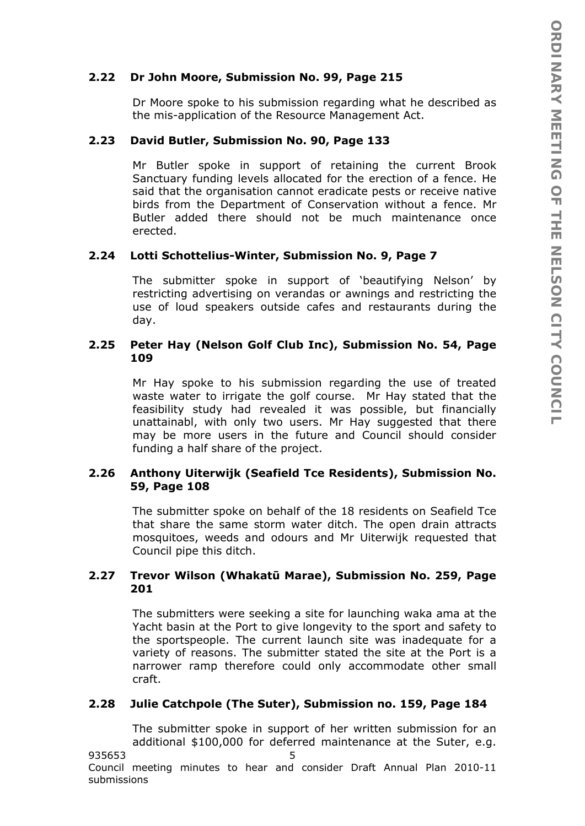## **2.22 Dr John Moore, Submission No. 99, Page 215**

Dr Moore spoke to his submission regarding what he described as the mis-application of the Resource Management Act.

### **2.23 David Butler, Submission No. 90, Page 133**

Mr Butler spoke in support of retaining the current Brook Sanctuary funding levels allocated for the erection of a fence. He said that the organisation cannot eradicate pests or receive native birds from the Department of Conservation without a fence. Mr Butler added there should not be much maintenance once erected.

# **2.24 Lotti Schottelius-Winter, Submission No. 9, Page 7**

The submitter spoke in support of 'beautifying Nelson' by restricting advertising on verandas or awnings and restricting the use of loud speakers outside cafes and restaurants during the day.

## **2.25 Peter Hay (Nelson Golf Club Inc), Submission No. 54, Page 109**

Mr Hay spoke to his submission regarding the use of treated waste water to irrigate the golf course. Mr Hay stated that the feasibility study had revealed it was possible, but financially unattainabl, with only two users. Mr Hay suggested that there may be more users in the future and Council should consider funding a half share of the project.

# **2.26 Anthony Uiterwijk (Seafield Tce Residents), Submission No. 59, Page 108**

The submitter spoke on behalf of the 18 residents on Seafield Tce that share the same storm water ditch. The open drain attracts mosquitoes, weeds and odours and Mr Uiterwijk requested that Council pipe this ditch.

# **2.27 Trevor Wilson (Whakatū Marae), Submission No. 259, Page 201**

The submitters were seeking a site for launching waka ama at the Yacht basin at the Port to give longevity to the sport and safety to the sportspeople. The current launch site was inadequate for a variety of reasons. The submitter stated the site at the Port is a narrower ramp therefore could only accommodate other small craft.

# **2.28 Julie Catchpole (The Suter), Submission no. 159, Page 184**

The submitter spoke in support of her written submission for an additional \$100,000 for deferred maintenance at the Suter, e.g.

935653 5 Council meeting minutes to hear and consider Draft Annual Plan 2010-11 submissions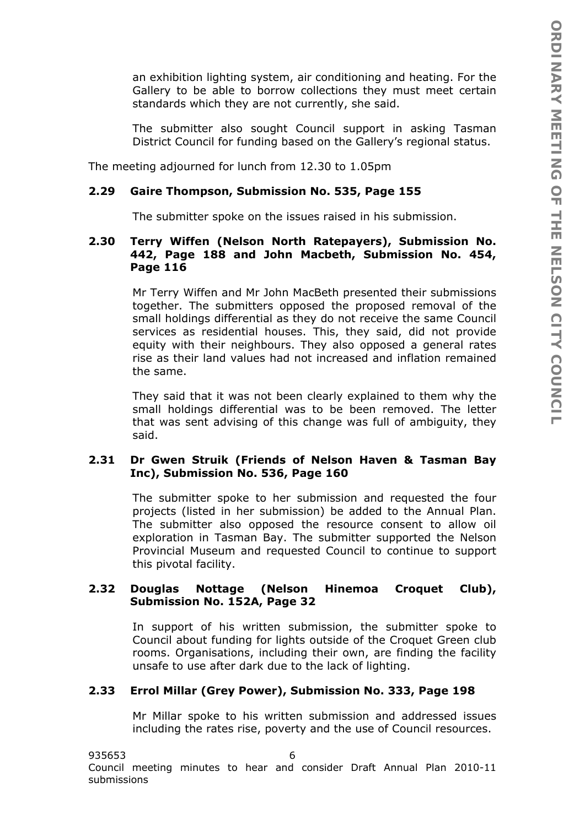an exhibition lighting system, air conditioning and heating. For the Gallery to be able to borrow collections they must meet certain standards which they are not currently, she said.

The submitter also sought Council support in asking Tasman District Council for funding based on the Gallery's regional status.

The meeting adjourned for lunch from 12.30 to 1.05pm

# **2.29 Gaire Thompson, Submission No. 535, Page 155**

The submitter spoke on the issues raised in his submission.

# **2.30 Terry Wiffen (Nelson North Ratepayers), Submission No. 442, Page 188 and John Macbeth, Submission No. 454, Page 116**

Mr Terry Wiffen and Mr John MacBeth presented their submissions together. The submitters opposed the proposed removal of the small holdings differential as they do not receive the same Council services as residential houses. This, they said, did not provide equity with their neighbours. They also opposed a general rates rise as their land values had not increased and inflation remained the same.

They said that it was not been clearly explained to them why the small holdings differential was to be been removed. The letter that was sent advising of this change was full of ambiguity, they said.

# **2.31 Dr Gwen Struik (Friends of Nelson Haven & Tasman Bay Inc), Submission No. 536, Page 160**

The submitter spoke to her submission and requested the four projects (listed in her submission) be added to the Annual Plan. The submitter also opposed the resource consent to allow oil exploration in Tasman Bay. The submitter supported the Nelson Provincial Museum and requested Council to continue to support this pivotal facility.

# **2.32 Douglas Nottage (Nelson Hinemoa Croquet Club), Submission No. 152A, Page 32**

In support of his written submission, the submitter spoke to Council about funding for lights outside of the Croquet Green club rooms. Organisations, including their own, are finding the facility unsafe to use after dark due to the lack of lighting.

### **2.33 Errol Millar (Grey Power), Submission No. 333, Page 198**

Mr Millar spoke to his written submission and addressed issues including the rates rise, poverty and the use of Council resources.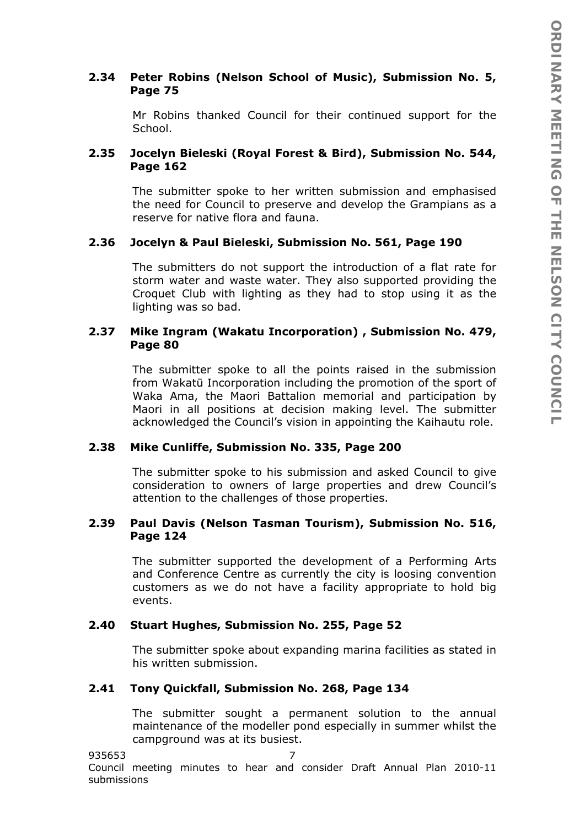# **2.34 Peter Robins (Nelson School of Music), Submission No. 5, Page 75**

Mr Robins thanked Council for their continued support for the School.

# **2.35 Jocelyn Bieleski (Royal Forest & Bird), Submission No. 544, Page 162**

The submitter spoke to her written submission and emphasised the need for Council to preserve and develop the Grampians as a reserve for native flora and fauna.

# **2.36 Jocelyn & Paul Bieleski, Submission No. 561, Page 190**

The submitters do not support the introduction of a flat rate for storm water and waste water. They also supported providing the Croquet Club with lighting as they had to stop using it as the lighting was so bad.

# **2.37 Mike Ingram (Wakatu Incorporation) , Submission No. 479, Page 80**

The submitter spoke to all the points raised in the submission from Wakatū Incorporation including the promotion of the sport of Waka Ama, the Maori Battalion memorial and participation by Maori in all positions at decision making level. The submitter acknowledged the Council's vision in appointing the Kaihautu role.

# **2.38 Mike Cunliffe, Submission No. 335, Page 200**

The submitter spoke to his submission and asked Council to give consideration to owners of large properties and drew Council's attention to the challenges of those properties.

# **2.39 Paul Davis (Nelson Tasman Tourism), Submission No. 516, Page 124**

The submitter supported the development of a Performing Arts and Conference Centre as currently the city is loosing convention customers as we do not have a facility appropriate to hold big events.

# **2.40 Stuart Hughes, Submission No. 255, Page 52**

The submitter spoke about expanding marina facilities as stated in his written submission.

# **2.41 Tony Quickfall, Submission No. 268, Page 134**

The submitter sought a permanent solution to the annual maintenance of the modeller pond especially in summer whilst the campground was at its busiest.

### 935653 7

Council meeting minutes to hear and consider Draft Annual Plan 2010-11 submissions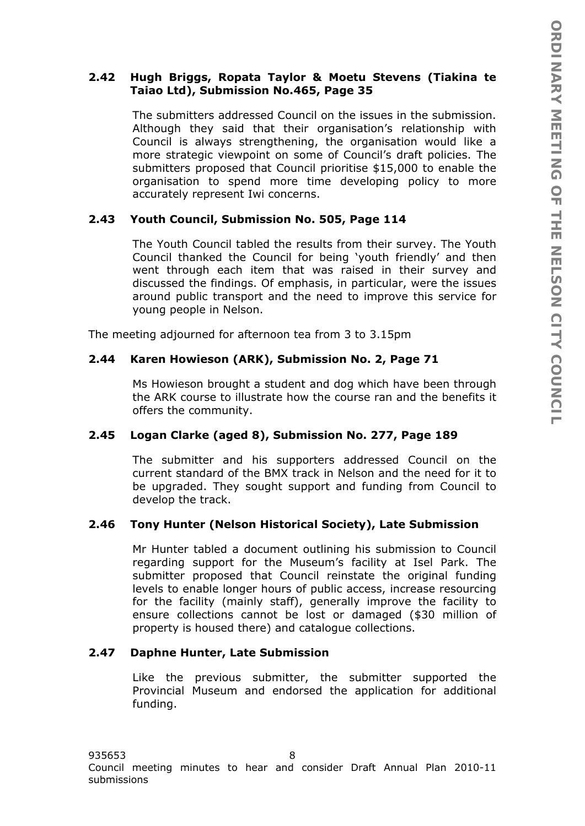# **2.42 Hugh Briggs, Ropata Taylor & Moetu Stevens (Tiakina te Taiao Ltd), Submission No.465, Page 35**

The submitters addressed Council on the issues in the submission. Although they said that their organisation's relationship with Council is always strengthening, the organisation would like a more strategic viewpoint on some of Council's draft policies. The submitters proposed that Council prioritise \$15,000 to enable the organisation to spend more time developing policy to more accurately represent Iwi concerns.

# **2.43 Youth Council, Submission No. 505, Page 114**

The Youth Council tabled the results from their survey. The Youth Council thanked the Council for being 'youth friendly' and then went through each item that was raised in their survey and discussed the findings. Of emphasis, in particular, were the issues around public transport and the need to improve this service for young people in Nelson.

The meeting adjourned for afternoon tea from 3 to 3.15pm

# **2.44 Karen Howieson (ARK), Submission No. 2, Page 71**

Ms Howieson brought a student and dog which have been through the ARK course to illustrate how the course ran and the benefits it offers the community.

# **2.45 Logan Clarke (aged 8), Submission No. 277, Page 189**

The submitter and his supporters addressed Council on the current standard of the BMX track in Nelson and the need for it to be upgraded. They sought support and funding from Council to develop the track.

# **2.46 Tony Hunter (Nelson Historical Society), Late Submission**

Mr Hunter tabled a document outlining his submission to Council regarding support for the Museum's facility at Isel Park. The submitter proposed that Council reinstate the original funding levels to enable longer hours of public access, increase resourcing for the facility (mainly staff), generally improve the facility to ensure collections cannot be lost or damaged (\$30 million of property is housed there) and catalogue collections.

# **2.47 Daphne Hunter, Late Submission**

Like the previous submitter, the submitter supported the Provincial Museum and endorsed the application for additional funding.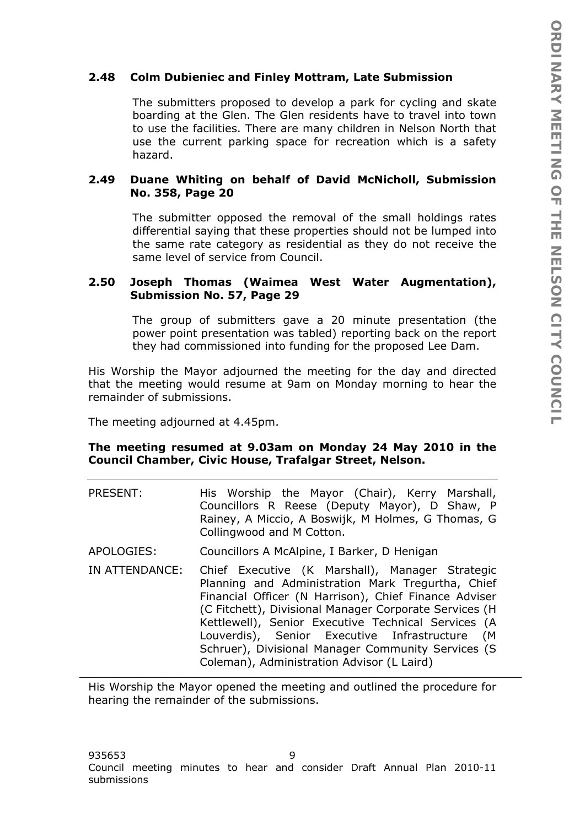# **2.48 Colm Dubieniec and Finley Mottram, Late Submission**

The submitters proposed to develop a park for cycling and skate boarding at the Glen. The Glen residents have to travel into town to use the facilities. There are many children in Nelson North that use the current parking space for recreation which is a safety hazard.

# **2.49 Duane Whiting on behalf of David McNicholl, Submission No. 358, Page 20**

The submitter opposed the removal of the small holdings rates differential saying that these properties should not be lumped into the same rate category as residential as they do not receive the same level of service from Council.

## **2.50 Joseph Thomas (Waimea West Water Augmentation), Submission No. 57, Page 29**

The group of submitters gave a 20 minute presentation (the power point presentation was tabled) reporting back on the report they had commissioned into funding for the proposed Lee Dam.

His Worship the Mayor adjourned the meeting for the day and directed that the meeting would resume at 9am on Monday morning to hear the remainder of submissions.

The meeting adjourned at 4.45pm.

### **The meeting resumed at 9.03am on Monday 24 May 2010 in the Council Chamber, Civic House, Trafalgar Street, Nelson.**

- PRESENT: His Worship the Mayor (Chair), Kerry Marshall, Councillors R Reese (Deputy Mayor), D Shaw, P Rainey, A Miccio, A Boswijk, M Holmes, G Thomas, G Collingwood and M Cotton.
- APOLOGIES: Councillors A McAlpine, I Barker, D Henigan
- IN ATTENDANCE: Chief Executive (K Marshall), Manager Strategic Planning and Administration Mark Tregurtha, Chief Financial Officer (N Harrison), Chief Finance Adviser (C Fitchett), Divisional Manager Corporate Services (H Kettlewell), Senior Executive Technical Services (A Louverdis), Senior Executive Infrastructure (M Schruer), Divisional Manager Community Services (S Coleman), Administration Advisor (L Laird)

His Worship the Mayor opened the meeting and outlined the procedure for hearing the remainder of the submissions.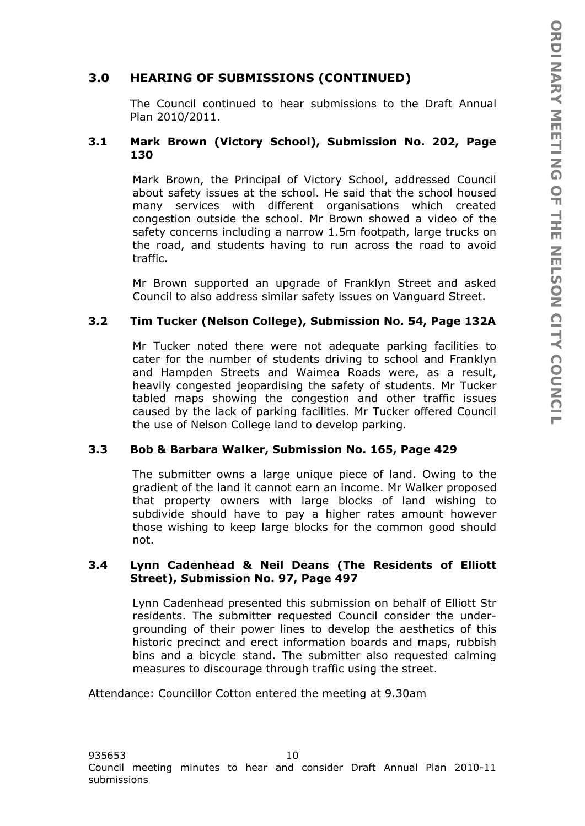# **3.0 HEARING OF SUBMISSIONS (CONTINUED)**

The Council continued to hear submissions to the Draft Annual Plan 2010/2011.

## **3.1 Mark Brown (Victory School), Submission No. 202, Page 130**

Mark Brown, the Principal of Victory School, addressed Council about safety issues at the school. He said that the school housed many services with different organisations which created congestion outside the school. Mr Brown showed a video of the safety concerns including a narrow 1.5m footpath, large trucks on the road, and students having to run across the road to avoid traffic.

Mr Brown supported an upgrade of Franklyn Street and asked Council to also address similar safety issues on Vanguard Street.

# **3.2 Tim Tucker (Nelson College), Submission No. 54, Page 132A**

Mr Tucker noted there were not adequate parking facilities to cater for the number of students driving to school and Franklyn and Hampden Streets and Waimea Roads were, as a result, heavily congested jeopardising the safety of students. Mr Tucker tabled maps showing the congestion and other traffic issues caused by the lack of parking facilities. Mr Tucker offered Council the use of Nelson College land to develop parking.

### **3.3 Bob & Barbara Walker, Submission No. 165, Page 429**

The submitter owns a large unique piece of land. Owing to the gradient of the land it cannot earn an income. Mr Walker proposed that property owners with large blocks of land wishing to subdivide should have to pay a higher rates amount however those wishing to keep large blocks for the common good should not.

#### **3.4 Lynn Cadenhead & Neil Deans (The Residents of Elliott Street), Submission No. 97, Page 497**

Lynn Cadenhead presented this submission on behalf of Elliott Str residents. The submitter requested Council consider the undergrounding of their power lines to develop the aesthetics of this historic precinct and erect information boards and maps, rubbish bins and a bicycle stand. The submitter also requested calming measures to discourage through traffic using the street.

Attendance: Councillor Cotton entered the meeting at 9.30am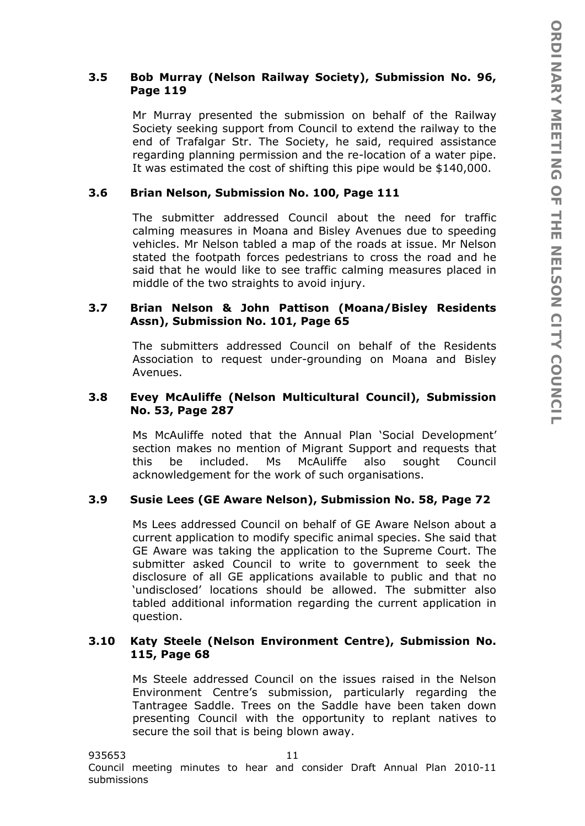# **3.5 Bob Murray (Nelson Railway Society), Submission No. 96, Page 119**

Mr Murray presented the submission on behalf of the Railway Society seeking support from Council to extend the railway to the end of Trafalgar Str. The Society, he said, required assistance regarding planning permission and the re-location of a water pipe. It was estimated the cost of shifting this pipe would be \$140,000.

### **3.6 Brian Nelson, Submission No. 100, Page 111**

The submitter addressed Council about the need for traffic calming measures in Moana and Bisley Avenues due to speeding vehicles. Mr Nelson tabled a map of the roads at issue. Mr Nelson stated the footpath forces pedestrians to cross the road and he said that he would like to see traffic calming measures placed in middle of the two straights to avoid injury.

## **3.7 Brian Nelson & John Pattison (Moana/Bisley Residents Assn), Submission No. 101, Page 65**

The submitters addressed Council on behalf of the Residents Association to request under-grounding on Moana and Bisley Avenues.

### **3.8 Evey McAuliffe (Nelson Multicultural Council), Submission No. 53, Page 287**

Ms McAuliffe noted that the Annual Plan 'Social Development' section makes no mention of Migrant Support and requests that this be included. Ms McAuliffe also sought Council acknowledgement for the work of such organisations.

## **3.9 Susie Lees (GE Aware Nelson), Submission No. 58, Page 72**

Ms Lees addressed Council on behalf of GE Aware Nelson about a current application to modify specific animal species. She said that GE Aware was taking the application to the Supreme Court. The submitter asked Council to write to government to seek the disclosure of all GE applications available to public and that no 'undisclosed' locations should be allowed. The submitter also tabled additional information regarding the current application in question.

# **3.10 Katy Steele (Nelson Environment Centre), Submission No. 115, Page 68**

Ms Steele addressed Council on the issues raised in the Nelson Environment Centre's submission, particularly regarding the Tantragee Saddle. Trees on the Saddle have been taken down presenting Council with the opportunity to replant natives to secure the soil that is being blown away.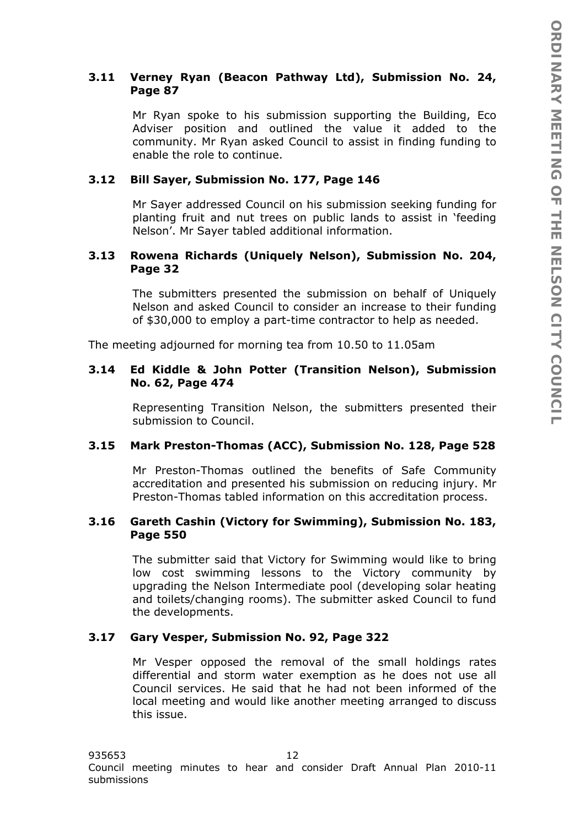# **3.11 Verney Ryan (Beacon Pathway Ltd), Submission No. 24, Page 87**

Mr Ryan spoke to his submission supporting the Building, Eco Adviser position and outlined the value it added to the community. Mr Ryan asked Council to assist in finding funding to enable the role to continue.

# **3.12 Bill Sayer, Submission No. 177, Page 146**

Mr Sayer addressed Council on his submission seeking funding for planting fruit and nut trees on public lands to assist in 'feeding Nelson'. Mr Sayer tabled additional information.

# **3.13 Rowena Richards (Uniquely Nelson), Submission No. 204, Page 32**

The submitters presented the submission on behalf of Uniquely Nelson and asked Council to consider an increase to their funding of \$30,000 to employ a part-time contractor to help as needed.

The meeting adjourned for morning tea from 10.50 to 11.05am

# **3.14 Ed Kiddle & John Potter (Transition Nelson), Submission No. 62, Page 474**

Representing Transition Nelson, the submitters presented their submission to Council.

# **3.15 Mark Preston-Thomas (ACC), Submission No. 128, Page 528**

Mr Preston-Thomas outlined the benefits of Safe Community accreditation and presented his submission on reducing injury. Mr Preston-Thomas tabled information on this accreditation process.

# **3.16 Gareth Cashin (Victory for Swimming), Submission No. 183, Page 550**

The submitter said that Victory for Swimming would like to bring low cost swimming lessons to the Victory community by upgrading the Nelson Intermediate pool (developing solar heating and toilets/changing rooms). The submitter asked Council to fund the developments.

# **3.17 Gary Vesper, Submission No. 92, Page 322**

Mr Vesper opposed the removal of the small holdings rates differential and storm water exemption as he does not use all Council services. He said that he had not been informed of the local meeting and would like another meeting arranged to discuss this issue.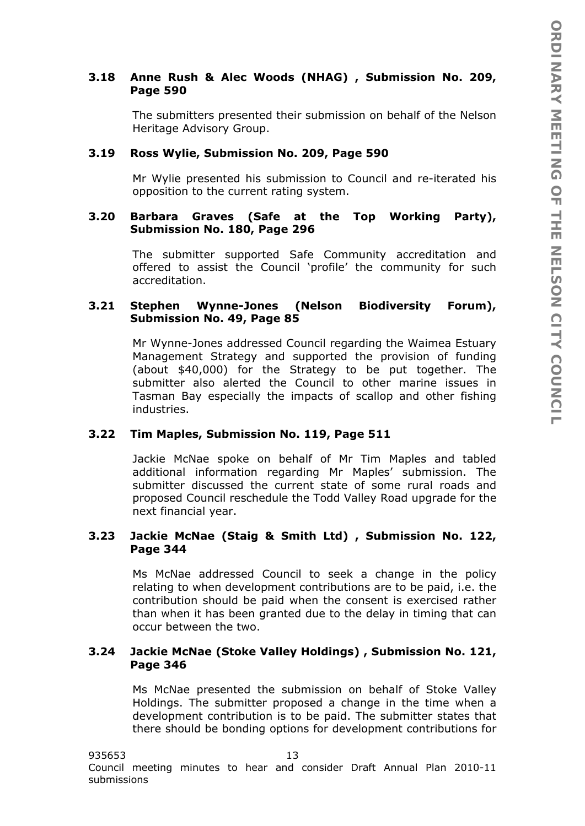# **3.18 Anne Rush & Alec Woods (NHAG) , Submission No. 209, Page 590**

The submitters presented their submission on behalf of the Nelson Heritage Advisory Group.

# **3.19 Ross Wylie, Submission No. 209, Page 590**

Mr Wylie presented his submission to Council and re-iterated his opposition to the current rating system.

### **3.20 Barbara Graves (Safe at the Top Working Party), Submission No. 180, Page 296**

The submitter supported Safe Community accreditation and offered to assist the Council 'profile' the community for such accreditation.

# **3.21 Stephen Wynne-Jones (Nelson Biodiversity Forum), Submission No. 49, Page 85**

Mr Wynne-Jones addressed Council regarding the Waimea Estuary Management Strategy and supported the provision of funding (about \$40,000) for the Strategy to be put together. The submitter also alerted the Council to other marine issues in Tasman Bay especially the impacts of scallop and other fishing industries.

# **3.22 Tim Maples, Submission No. 119, Page 511**

Jackie McNae spoke on behalf of Mr Tim Maples and tabled additional information regarding Mr Maples' submission. The submitter discussed the current state of some rural roads and proposed Council reschedule the Todd Valley Road upgrade for the next financial year.

# **3.23 Jackie McNae (Staig & Smith Ltd) , Submission No. 122, Page 344**

Ms McNae addressed Council to seek a change in the policy relating to when development contributions are to be paid, i.e. the contribution should be paid when the consent is exercised rather than when it has been granted due to the delay in timing that can occur between the two.

# **3.24 Jackie McNae (Stoke Valley Holdings) , Submission No. 121, Page 346**

Ms McNae presented the submission on behalf of Stoke Valley Holdings. The submitter proposed a change in the time when a development contribution is to be paid. The submitter states that there should be bonding options for development contributions for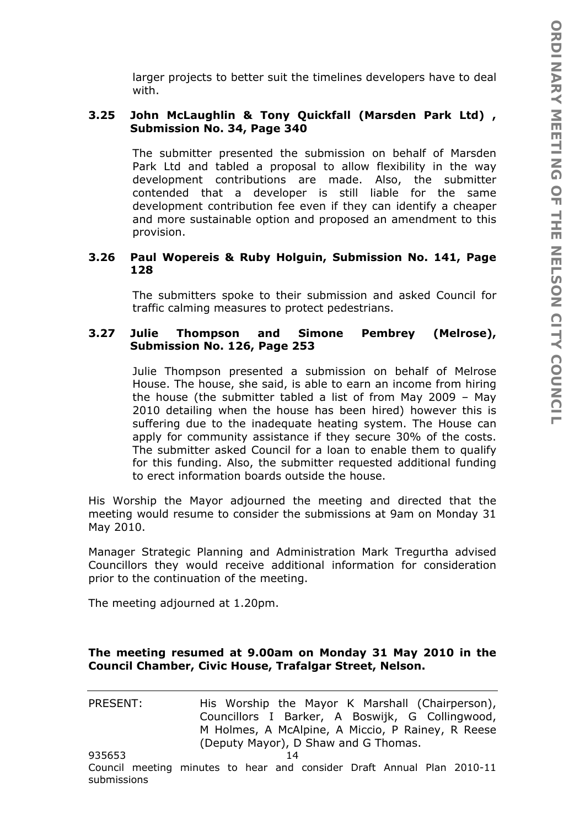larger projects to better suit the timelines developers have to deal with.

# **3.25 John McLaughlin & Tony Quickfall (Marsden Park Ltd) , Submission No. 34, Page 340**

The submitter presented the submission on behalf of Marsden Park Ltd and tabled a proposal to allow flexibility in the way development contributions are made. Also, the submitter contended that a developer is still liable for the same development contribution fee even if they can identify a cheaper and more sustainable option and proposed an amendment to this provision.

## **3.26 Paul Wopereis & Ruby Holguin, Submission No. 141, Page 128**

The submitters spoke to their submission and asked Council for traffic calming measures to protect pedestrians.

# **3.27 Julie Thompson and Simone Pembrey (Melrose), Submission No. 126, Page 253**

Julie Thompson presented a submission on behalf of Melrose House. The house, she said, is able to earn an income from hiring the house (the submitter tabled a list of from May 2009 – May 2010 detailing when the house has been hired) however this is suffering due to the inadequate heating system. The House can apply for community assistance if they secure 30% of the costs. The submitter asked Council for a loan to enable them to qualify for this funding. Also, the submitter requested additional funding to erect information boards outside the house.

His Worship the Mayor adjourned the meeting and directed that the meeting would resume to consider the submissions at 9am on Monday 31 May 2010.

Manager Strategic Planning and Administration Mark Tregurtha advised Councillors they would receive additional information for consideration prior to the continuation of the meeting.

The meeting adjourned at 1.20pm.

submissions

# **The meeting resumed at 9.00am on Monday 31 May 2010 in the Council Chamber, Civic House, Trafalgar Street, Nelson.**

935653 14 Council meeting minutes to hear and consider Draft Annual Plan 2010-11 PRESENT: His Worship the Mayor K Marshall (Chairperson), Councillors I Barker, A Boswijk, G Collingwood, M Holmes, A McAlpine, A Miccio, P Rainey, R Reese (Deputy Mayor), D Shaw and G Thomas.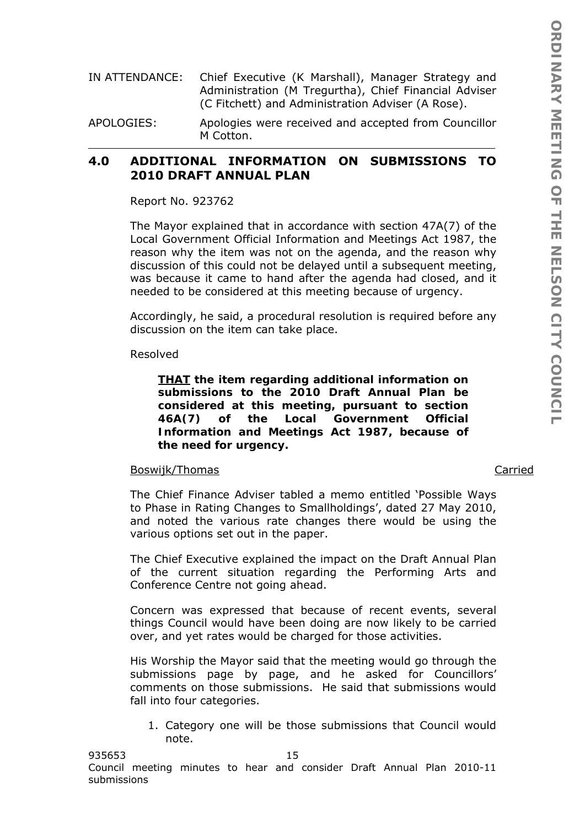- IN ATTENDANCE: Chief Executive (K Marshall), Manager Strategy and Administration (M Tregurtha), Chief Financial Adviser (C Fitchett) and Administration Adviser (A Rose).
- APOLOGIES: Apologies were received and accepted from Councillor M Cotton.

# **4.0 ADDITIONAL INFORMATION ON SUBMISSIONS TO 2010 DRAFT ANNUAL PLAN**

Report No. 923762

The Mayor explained that in accordance with section 47A(7) of the Local Government Official Information and Meetings Act 1987, the reason why the item was not on the agenda, and the reason why discussion of this could not be delayed until a subsequent meeting, was because it came to hand after the agenda had closed, and it needed to be considered at this meeting because of urgency.

Accordingly, he said, a procedural resolution is required before any discussion on the item can take place.

Resolved

*THAT the item regarding additional information on submissions to the 2010 Draft Annual Plan be considered at this meeting, pursuant to section 46A(7) of the Local Government Official Information and Meetings Act 1987, because of the need for urgency.* 

## Boswijk/Thomas Carried

The Chief Finance Adviser tabled a memo entitled 'Possible Ways to Phase in Rating Changes to Smallholdings', dated 27 May 2010, and noted the various rate changes there would be using the various options set out in the paper.

The Chief Executive explained the impact on the Draft Annual Plan of the current situation regarding the Performing Arts and Conference Centre not going ahead.

Concern was expressed that because of recent events, several things Council would have been doing are now likely to be carried over, and yet rates would be charged for those activities.

His Worship the Mayor said that the meeting would go through the submissions page by page, and he asked for Councillors' comments on those submissions. He said that submissions would fall into four categories.

1. Category one will be those submissions that Council would note.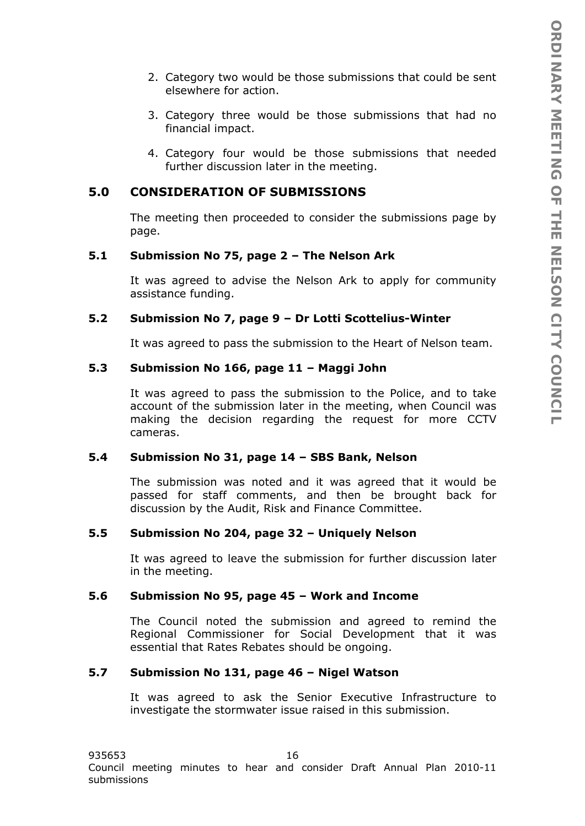- 2. Category two would be those submissions that could be sent elsewhere for action.
- 3. Category three would be those submissions that had no financial impact.
- 4. Category four would be those submissions that needed further discussion later in the meeting.

# **5.0 CONSIDERATION OF SUBMISSIONS**

The meeting then proceeded to consider the submissions page by page.

## **5.1 Submission No 75, page 2 – The Nelson Ark**

It was agreed to advise the Nelson Ark to apply for community assistance funding.

#### **5.2 Submission No 7, page 9 – Dr Lotti Scottelius-Winter**

It was agreed to pass the submission to the Heart of Nelson team.

## **5.3 Submission No 166, page 11 – Maggi John**

It was agreed to pass the submission to the Police, and to take account of the submission later in the meeting, when Council was making the decision regarding the request for more CCTV cameras.

#### **5.4 Submission No 31, page 14 – SBS Bank, Nelson**

The submission was noted and it was agreed that it would be passed for staff comments, and then be brought back for discussion by the Audit, Risk and Finance Committee.

#### **5.5 Submission No 204, page 32 – Uniquely Nelson**

It was agreed to leave the submission for further discussion later in the meeting.

#### **5.6 Submission No 95, page 45 – Work and Income**

The Council noted the submission and agreed to remind the Regional Commissioner for Social Development that it was essential that Rates Rebates should be ongoing.

#### **5.7 Submission No 131, page 46 – Nigel Watson**

It was agreed to ask the Senior Executive Infrastructure to investigate the stormwater issue raised in this submission.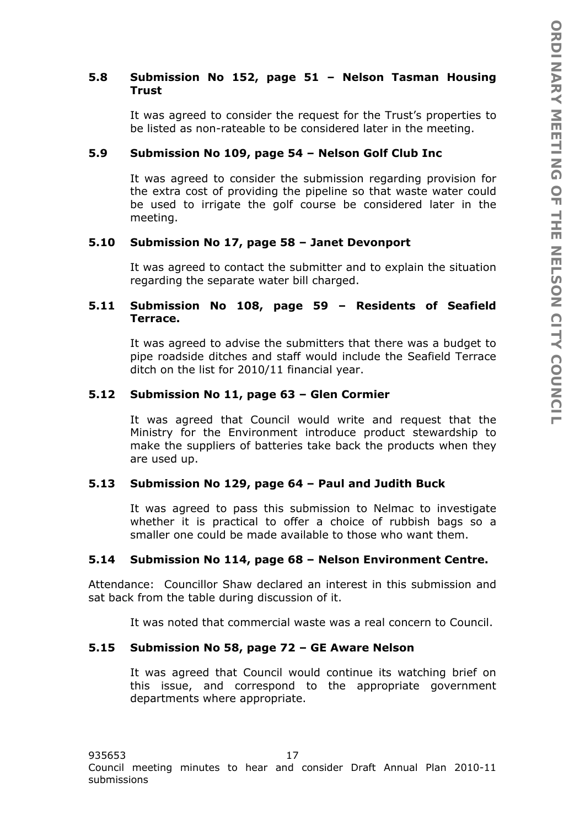# **5.8 Submission No 152, page 51 – Nelson Tasman Housing Trust**

It was agreed to consider the request for the Trust's properties to be listed as non-rateable to be considered later in the meeting.

# **5.9 Submission No 109, page 54 – Nelson Golf Club Inc**

It was agreed to consider the submission regarding provision for the extra cost of providing the pipeline so that waste water could be used to irrigate the golf course be considered later in the meeting.

# **5.10 Submission No 17, page 58 – Janet Devonport**

It was agreed to contact the submitter and to explain the situation regarding the separate water bill charged.

# **5.11 Submission No 108, page 59 – Residents of Seafield Terrace.**

It was agreed to advise the submitters that there was a budget to pipe roadside ditches and staff would include the Seafield Terrace ditch on the list for 2010/11 financial year.

# **5.12 Submission No 11, page 63 – Glen Cormier**

It was agreed that Council would write and request that the Ministry for the Environment introduce product stewardship to make the suppliers of batteries take back the products when they are used up.

# **5.13 Submission No 129, page 64 – Paul and Judith Buck**

It was agreed to pass this submission to Nelmac to investigate whether it is practical to offer a choice of rubbish bags so a smaller one could be made available to those who want them.

# **5.14 Submission No 114, page 68 – Nelson Environment Centre.**

Attendance: Councillor Shaw declared an interest in this submission and sat back from the table during discussion of it.

It was noted that commercial waste was a real concern to Council.

# **5.15 Submission No 58, page 72 – GE Aware Nelson**

It was agreed that Council would continue its watching brief on this issue, and correspond to the appropriate government departments where appropriate.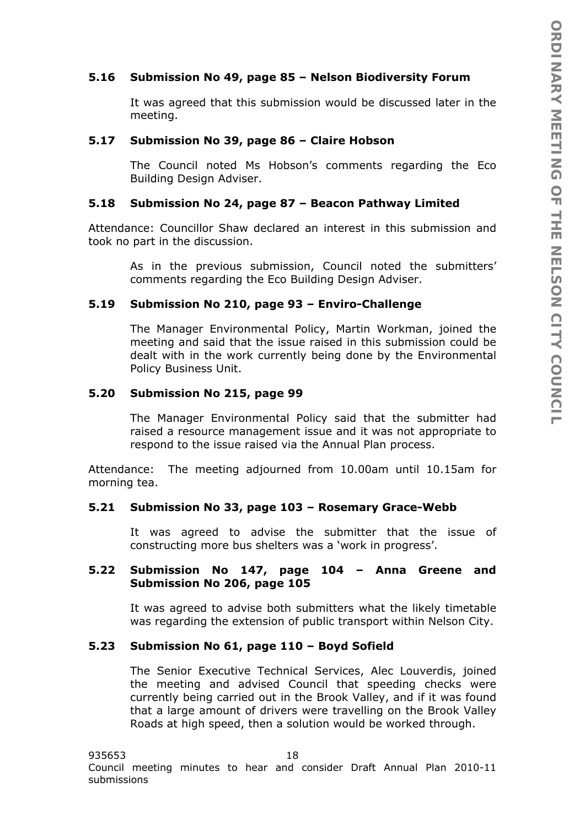# **5.16 Submission No 49, page 85 – Nelson Biodiversity Forum**

It was agreed that this submission would be discussed later in the meeting.

#### **5.17 Submission No 39, page 86 – Claire Hobson**

The Council noted Ms Hobson's comments regarding the Eco Building Design Adviser.

#### **5.18 Submission No 24, page 87 – Beacon Pathway Limited**

Attendance: Councillor Shaw declared an interest in this submission and took no part in the discussion.

> As in the previous submission, Council noted the submitters' comments regarding the Eco Building Design Adviser.

#### **5.19 Submission No 210, page 93 – Enviro-Challenge**

The Manager Environmental Policy, Martin Workman, joined the meeting and said that the issue raised in this submission could be dealt with in the work currently being done by the Environmental Policy Business Unit.

#### **5.20 Submission No 215, page 99**

The Manager Environmental Policy said that the submitter had raised a resource management issue and it was not appropriate to respond to the issue raised via the Annual Plan process.

Attendance: The meeting adjourned from 10.00am until 10.15am for morning tea.

#### **5.21 Submission No 33, page 103 – Rosemary Grace-Webb**

It was agreed to advise the submitter that the issue of constructing more bus shelters was a 'work in progress'.

#### **5.22 Submission No 147, page 104 – Anna Greene and Submission No 206, page 105**

It was agreed to advise both submitters what the likely timetable was regarding the extension of public transport within Nelson City.

#### **5.23 Submission No 61, page 110 – Boyd Sofield**

The Senior Executive Technical Services, Alec Louverdis, joined the meeting and advised Council that speeding checks were currently being carried out in the Brook Valley, and if it was found that a large amount of drivers were travelling on the Brook Valley Roads at high speed, then a solution would be worked through.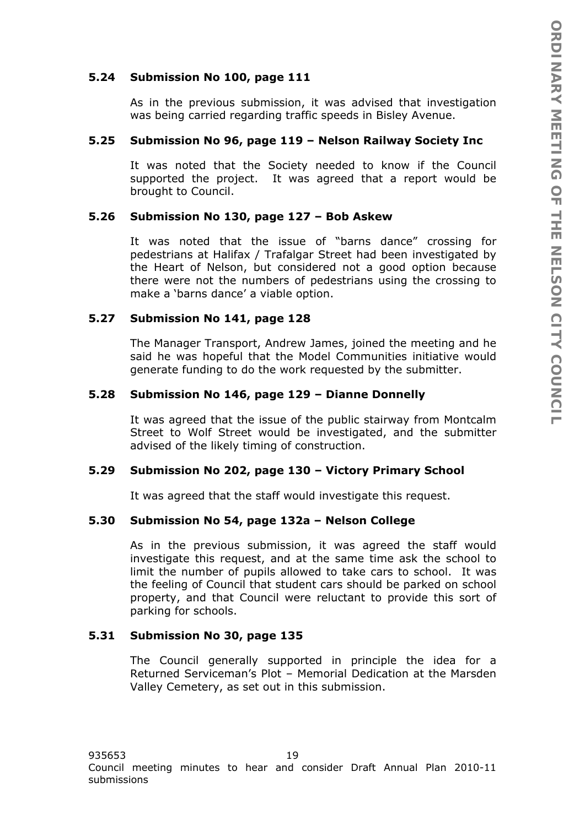# **5.24 Submission No 100, page 111**

As in the previous submission, it was advised that investigation was being carried regarding traffic speeds in Bisley Avenue.

#### **5.25 Submission No 96, page 119 – Nelson Railway Society Inc**

It was noted that the Society needed to know if the Council supported the project. It was agreed that a report would be brought to Council.

### **5.26 Submission No 130, page 127 – Bob Askew**

It was noted that the issue of "barns dance" crossing for pedestrians at Halifax / Trafalgar Street had been investigated by the Heart of Nelson, but considered not a good option because there were not the numbers of pedestrians using the crossing to make a 'barns dance' a viable option.

### **5.27 Submission No 141, page 128**

The Manager Transport, Andrew James, joined the meeting and he said he was hopeful that the Model Communities initiative would generate funding to do the work requested by the submitter.

### **5.28 Submission No 146, page 129 – Dianne Donnelly**

It was agreed that the issue of the public stairway from Montcalm Street to Wolf Street would be investigated, and the submitter advised of the likely timing of construction.

#### **5.29 Submission No 202, page 130 – Victory Primary School**

It was agreed that the staff would investigate this request.

#### **5.30 Submission No 54, page 132a – Nelson College**

As in the previous submission, it was agreed the staff would investigate this request, and at the same time ask the school to limit the number of pupils allowed to take cars to school. It was the feeling of Council that student cars should be parked on school property, and that Council were reluctant to provide this sort of parking for schools.

### **5.31 Submission No 30, page 135**

The Council generally supported in principle the idea for a Returned Serviceman's Plot – Memorial Dedication at the Marsden Valley Cemetery, as set out in this submission.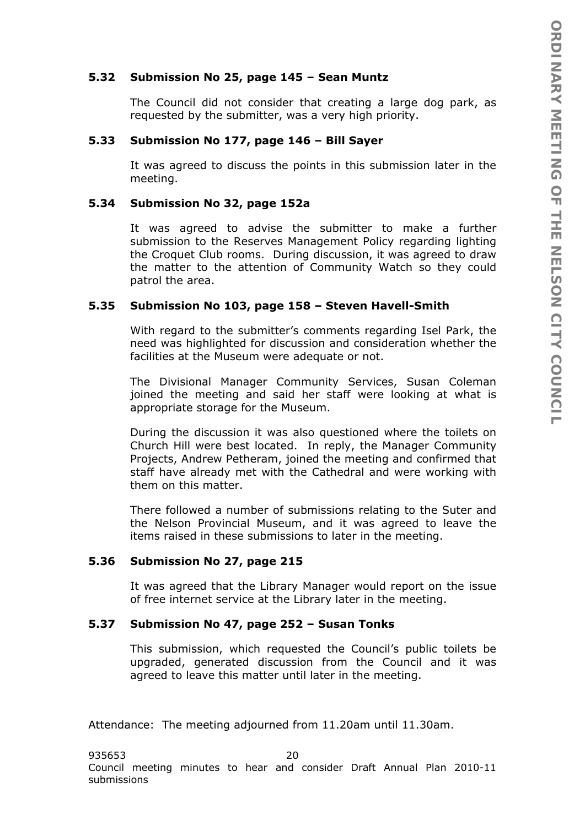## **5.32 Submission No 25, page 145 – Sean Muntz**

The Council did not consider that creating a large dog park, as requested by the submitter, was a very high priority.

## **5.33 Submission No 177, page 146 – Bill Sayer**

It was agreed to discuss the points in this submission later in the meeting.

# **5.34 Submission No 32, page 152a**

It was agreed to advise the submitter to make a further submission to the Reserves Management Policy regarding lighting the Croquet Club rooms. During discussion, it was agreed to draw the matter to the attention of Community Watch so they could patrol the area.

# **5.35 Submission No 103, page 158 – Steven Havell-Smith**

With regard to the submitter's comments regarding Isel Park, the need was highlighted for discussion and consideration whether the facilities at the Museum were adequate or not.

The Divisional Manager Community Services, Susan Coleman joined the meeting and said her staff were looking at what is appropriate storage for the Museum.

During the discussion it was also questioned where the toilets on Church Hill were best located. In reply, the Manager Community Projects, Andrew Petheram, joined the meeting and confirmed that staff have already met with the Cathedral and were working with them on this matter.

There followed a number of submissions relating to the Suter and the Nelson Provincial Museum, and it was agreed to leave the items raised in these submissions to later in the meeting.

# **5.36 Submission No 27, page 215**

It was agreed that the Library Manager would report on the issue of free internet service at the Library later in the meeting.

### **5.37 Submission No 47, page 252 – Susan Tonks**

This submission, which requested the Council's public toilets be upgraded, generated discussion from the Council and it was agreed to leave this matter until later in the meeting.

Attendance: The meeting adjourned from 11.20am until 11.30am.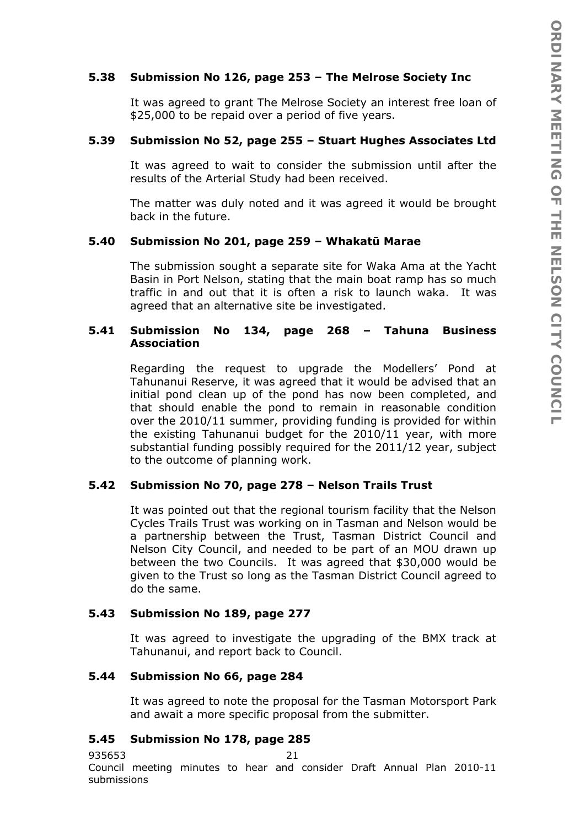# **5.38 Submission No 126, page 253 – The Melrose Society Inc**

It was agreed to grant The Melrose Society an interest free loan of \$25,000 to be repaid over a period of five years.

### **5.39 Submission No 52, page 255 – Stuart Hughes Associates Ltd**

It was agreed to wait to consider the submission until after the results of the Arterial Study had been received.

The matter was duly noted and it was agreed it would be brought back in the future.

#### **5.40 Submission No 201, page 259 – Whakatū Marae**

The submission sought a separate site for Waka Ama at the Yacht Basin in Port Nelson, stating that the main boat ramp has so much traffic in and out that it is often a risk to launch waka. It was agreed that an alternative site be investigated.

### **5.41 Submission No 134, page 268 – Tahuna Business Association**

Regarding the request to upgrade the Modellers' Pond at Tahunanui Reserve, it was agreed that it would be advised that an initial pond clean up of the pond has now been completed, and that should enable the pond to remain in reasonable condition over the 2010/11 summer, providing funding is provided for within the existing Tahunanui budget for the 2010/11 year, with more substantial funding possibly required for the 2011/12 year, subject to the outcome of planning work.

### **5.42 Submission No 70, page 278 – Nelson Trails Trust**

It was pointed out that the regional tourism facility that the Nelson Cycles Trails Trust was working on in Tasman and Nelson would be a partnership between the Trust, Tasman District Council and Nelson City Council, and needed to be part of an MOU drawn up between the two Councils. It was agreed that \$30,000 would be given to the Trust so long as the Tasman District Council agreed to do the same.

### **5.43 Submission No 189, page 277**

It was agreed to investigate the upgrading of the BMX track at Tahunanui, and report back to Council.

### **5.44 Submission No 66, page 284**

It was agreed to note the proposal for the Tasman Motorsport Park and await a more specific proposal from the submitter.

### **5.45 Submission No 178, page 285**

935653 21

Council meeting minutes to hear and consider Draft Annual Plan 2010-11 submissions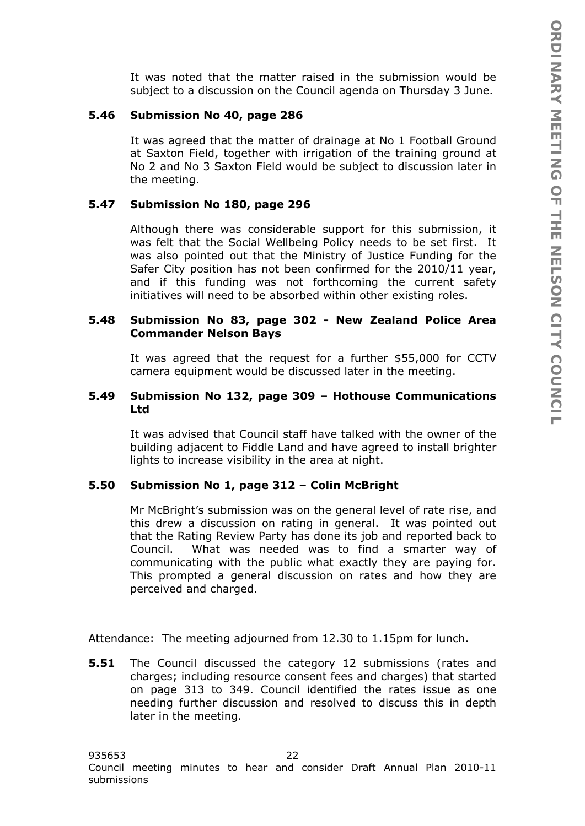It was noted that the matter raised in the submission would be subject to a discussion on the Council agenda on Thursday 3 June.

# **5.46 Submission No 40, page 286**

It was agreed that the matter of drainage at No 1 Football Ground at Saxton Field, together with irrigation of the training ground at No 2 and No 3 Saxton Field would be subject to discussion later in the meeting.

# **5.47 Submission No 180, page 296**

Although there was considerable support for this submission, it was felt that the Social Wellbeing Policy needs to be set first. It was also pointed out that the Ministry of Justice Funding for the Safer City position has not been confirmed for the 2010/11 year, and if this funding was not forthcoming the current safety initiatives will need to be absorbed within other existing roles.

## **5.48 Submission No 83, page 302 - New Zealand Police Area Commander Nelson Bays**

It was agreed that the request for a further \$55,000 for CCTV camera equipment would be discussed later in the meeting.

# **5.49 Submission No 132, page 309 – Hothouse Communications Ltd**

It was advised that Council staff have talked with the owner of the building adjacent to Fiddle Land and have agreed to install brighter lights to increase visibility in the area at night.

# **5.50 Submission No 1, page 312 – Colin McBright**

Mr McBright's submission was on the general level of rate rise, and this drew a discussion on rating in general. It was pointed out that the Rating Review Party has done its job and reported back to Council. What was needed was to find a smarter way of communicating with the public what exactly they are paying for. This prompted a general discussion on rates and how they are perceived and charged.

Attendance: The meeting adjourned from 12.30 to 1.15pm for lunch.

**5.51** The Council discussed the category 12 submissions (rates and charges; including resource consent fees and charges) that started on page 313 to 349. Council identified the rates issue as one needing further discussion and resolved to discuss this in depth later in the meeting.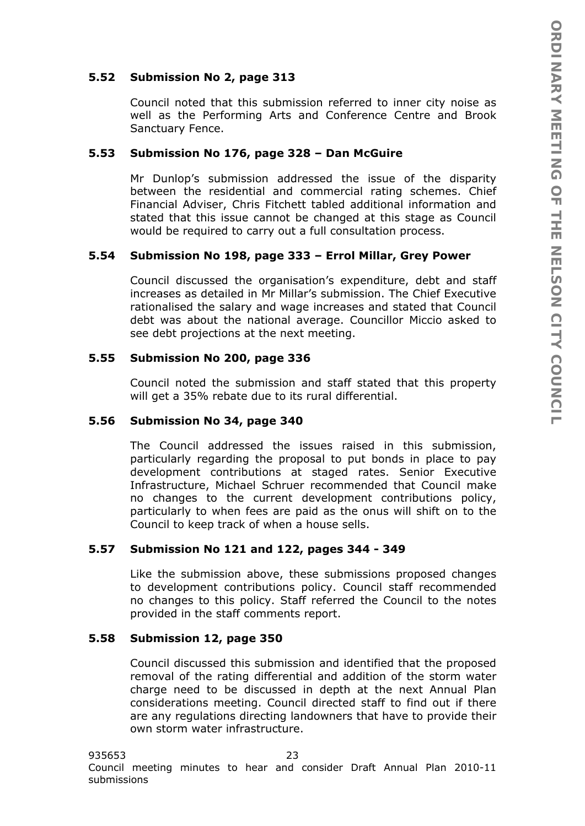# **5.52 Submission No 2, page 313**

Council noted that this submission referred to inner city noise as well as the Performing Arts and Conference Centre and Brook Sanctuary Fence.

#### **5.53 Submission No 176, page 328 – Dan McGuire**

Mr Dunlop's submission addressed the issue of the disparity between the residential and commercial rating schemes. Chief Financial Adviser, Chris Fitchett tabled additional information and stated that this issue cannot be changed at this stage as Council would be required to carry out a full consultation process.

### **5.54 Submission No 198, page 333 – Errol Millar, Grey Power**

Council discussed the organisation's expenditure, debt and staff increases as detailed in Mr Millar's submission. The Chief Executive rationalised the salary and wage increases and stated that Council debt was about the national average. Councillor Miccio asked to see debt projections at the next meeting.

### **5.55 Submission No 200, page 336**

Council noted the submission and staff stated that this property will get a 35% rebate due to its rural differential.

#### **5.56 Submission No 34, page 340**

The Council addressed the issues raised in this submission, particularly regarding the proposal to put bonds in place to pay development contributions at staged rates. Senior Executive Infrastructure, Michael Schruer recommended that Council make no changes to the current development contributions policy, particularly to when fees are paid as the onus will shift on to the Council to keep track of when a house sells.

### **5.57 Submission No 121 and 122, pages 344 - 349**

Like the submission above, these submissions proposed changes to development contributions policy. Council staff recommended no changes to this policy. Staff referred the Council to the notes provided in the staff comments report.

#### **5.58 Submission 12, page 350**

Council discussed this submission and identified that the proposed removal of the rating differential and addition of the storm water charge need to be discussed in depth at the next Annual Plan considerations meeting. Council directed staff to find out if there are any regulations directing landowners that have to provide their own storm water infrastructure.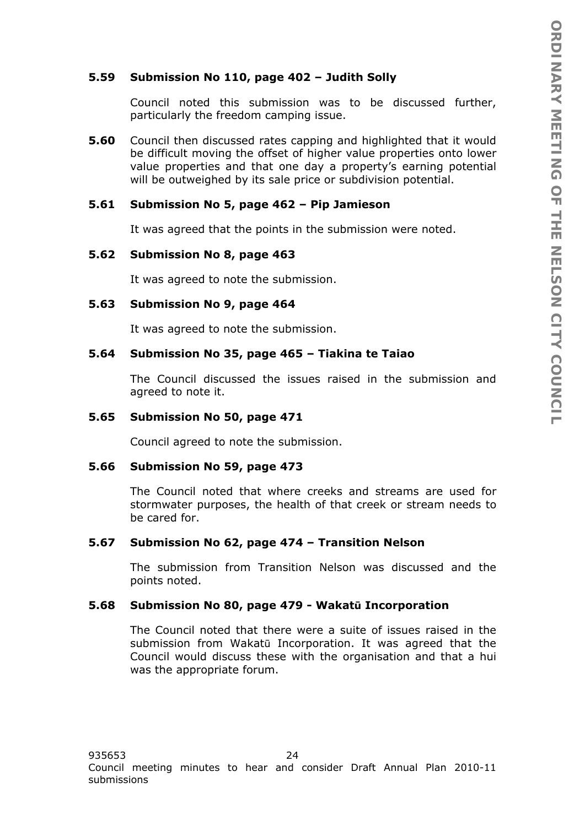# **5.59 Submission No 110, page 402 – Judith Solly**

Council noted this submission was to be discussed further, particularly the freedom camping issue.

**5.60** Council then discussed rates capping and highlighted that it would be difficult moving the offset of higher value properties onto lower value properties and that one day a property's earning potential will be outweighed by its sale price or subdivision potential.

## **5.61 Submission No 5, page 462 – Pip Jamieson**

It was agreed that the points in the submission were noted.

### **5.62 Submission No 8, page 463**

It was agreed to note the submission.

### **5.63 Submission No 9, page 464**

It was agreed to note the submission.

### **5.64 Submission No 35, page 465 – Tiakina te Taiao**

The Council discussed the issues raised in the submission and agreed to note it.

#### **5.65 Submission No 50, page 471**

Council agreed to note the submission.

### **5.66 Submission No 59, page 473**

The Council noted that where creeks and streams are used for stormwater purposes, the health of that creek or stream needs to be cared for.

### **5.67 Submission No 62, page 474 – Transition Nelson**

The submission from Transition Nelson was discussed and the points noted.

### **5.68 Submission No 80, page 479 - Wakatū Incorporation**

The Council noted that there were a suite of issues raised in the submission from Wakatū Incorporation. It was agreed that the Council would discuss these with the organisation and that a hui was the appropriate forum.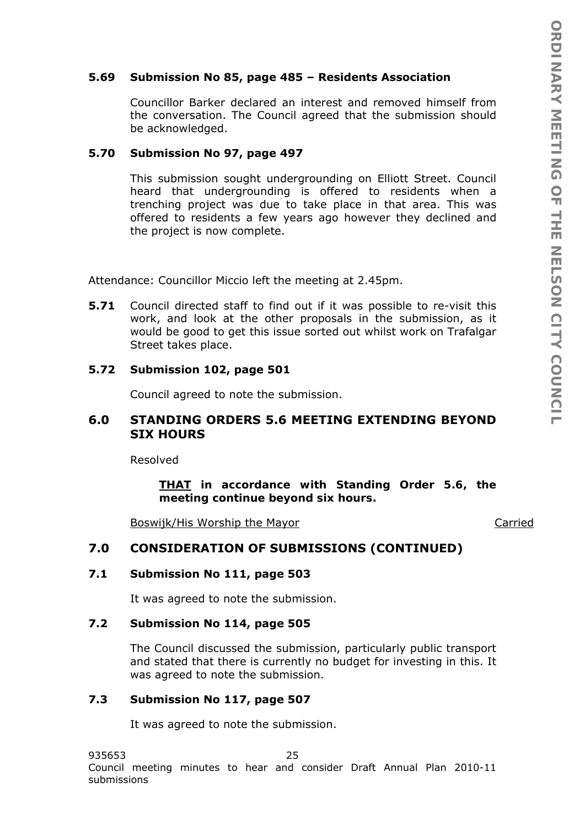#### **5.69 Submission No 85, page 485 – Residents Association**

Councillor Barker declared an interest and removed himself from the conversation. The Council agreed that the submission should be acknowledged.

#### **5.70 Submission No 97, page 497**

This submission sought undergrounding on Elliott Street. Council heard that undergrounding is offered to residents when a trenching project was due to take place in that area. This was offered to residents a few years ago however they declined and the project is now complete.

Attendance: Councillor Miccio left the meeting at 2.45pm.

**5.71** Council directed staff to find out if it was possible to re-visit this work, and look at the other proposals in the submission, as it would be good to get this issue sorted out whilst work on Trafalgar Street takes place.

#### **5.72 Submission 102, page 501**

Council agreed to note the submission.

# **6.0 STANDING ORDERS 5.6 MEETING EXTENDING BEYOND SIX HOURS**

Resolved

*THAT in accordance with Standing Order 5.6, the meeting continue beyond six hours.* 

Boswijk/His Worship the Mayor Carried

# **7.0 CONSIDERATION OF SUBMISSIONS (CONTINUED)**

#### **7.1 Submission No 111, page 503**

It was agreed to note the submission.

#### **7.2 Submission No 114, page 505**

The Council discussed the submission, particularly public transport and stated that there is currently no budget for investing in this. It was agreed to note the submission.

## **7.3 Submission No 117, page 507**

It was agreed to note the submission.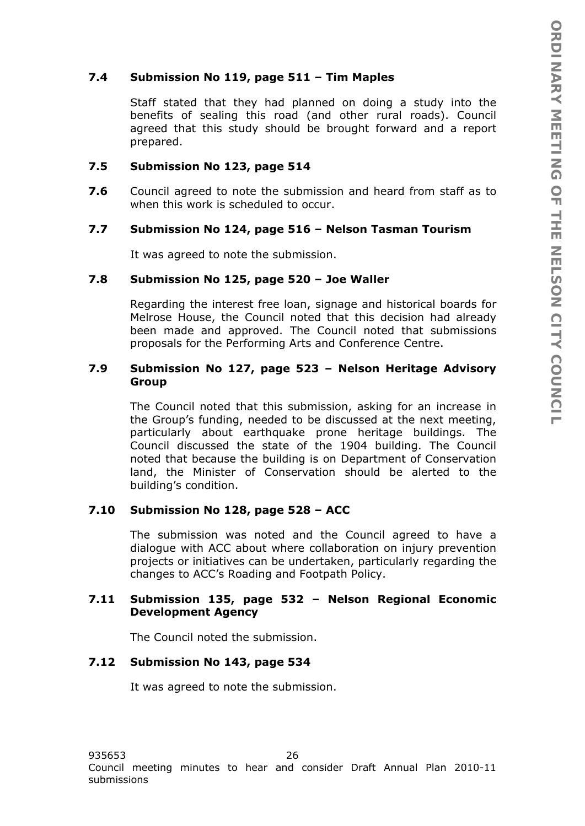# **7.4 Submission No 119, page 511 – Tim Maples**

Staff stated that they had planned on doing a study into the benefits of sealing this road (and other rural roads). Council agreed that this study should be brought forward and a report prepared.

# **7.5 Submission No 123, page 514**

**7.6** Council agreed to note the submission and heard from staff as to when this work is scheduled to occur.

# **7.7 Submission No 124, page 516 – Nelson Tasman Tourism**

It was agreed to note the submission.

### **7.8 Submission No 125, page 520 – Joe Waller**

Regarding the interest free loan, signage and historical boards for Melrose House, the Council noted that this decision had already been made and approved. The Council noted that submissions proposals for the Performing Arts and Conference Centre.

# **7.9 Submission No 127, page 523 – Nelson Heritage Advisory Group**

The Council noted that this submission, asking for an increase in the Group's funding, needed to be discussed at the next meeting, particularly about earthquake prone heritage buildings. The Council discussed the state of the 1904 building. The Council noted that because the building is on Department of Conservation land, the Minister of Conservation should be alerted to the building's condition.

# **7.10 Submission No 128, page 528 – ACC**

The submission was noted and the Council agreed to have a dialogue with ACC about where collaboration on injury prevention projects or initiatives can be undertaken, particularly regarding the changes to ACC's Roading and Footpath Policy.

# **7.11 Submission 135, page 532 – Nelson Regional Economic Development Agency**

The Council noted the submission.

### **7.12 Submission No 143, page 534**

It was agreed to note the submission.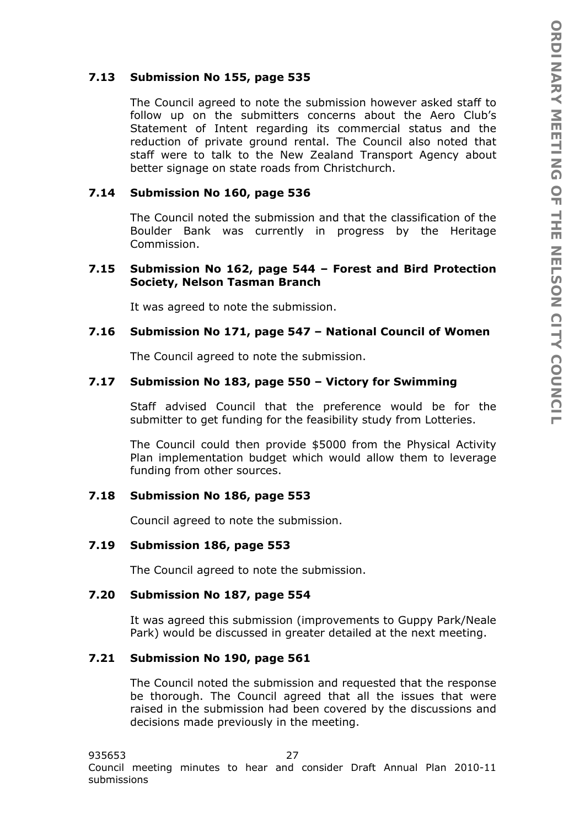# **7.13 Submission No 155, page 535**

The Council agreed to note the submission however asked staff to follow up on the submitters concerns about the Aero Club's Statement of Intent regarding its commercial status and the reduction of private ground rental. The Council also noted that staff were to talk to the New Zealand Transport Agency about better signage on state roads from Christchurch.

### **7.14 Submission No 160, page 536**

The Council noted the submission and that the classification of the Boulder Bank was currently in progress by the Heritage Commission.

#### **7.15 Submission No 162, page 544 – Forest and Bird Protection Society, Nelson Tasman Branch**

It was agreed to note the submission.

#### **7.16 Submission No 171, page 547 – National Council of Women**

The Council agreed to note the submission.

# **7.17 Submission No 183, page 550 – Victory for Swimming**

Staff advised Council that the preference would be for the submitter to get funding for the feasibility study from Lotteries.

The Council could then provide \$5000 from the Physical Activity Plan implementation budget which would allow them to leverage funding from other sources.

#### **7.18 Submission No 186, page 553**

Council agreed to note the submission.

#### **7.19 Submission 186, page 553**

The Council agreed to note the submission.

#### **7.20 Submission No 187, page 554**

It was agreed this submission (improvements to Guppy Park/Neale Park) would be discussed in greater detailed at the next meeting.

#### **7.21 Submission No 190, page 561**

The Council noted the submission and requested that the response be thorough. The Council agreed that all the issues that were raised in the submission had been covered by the discussions and decisions made previously in the meeting.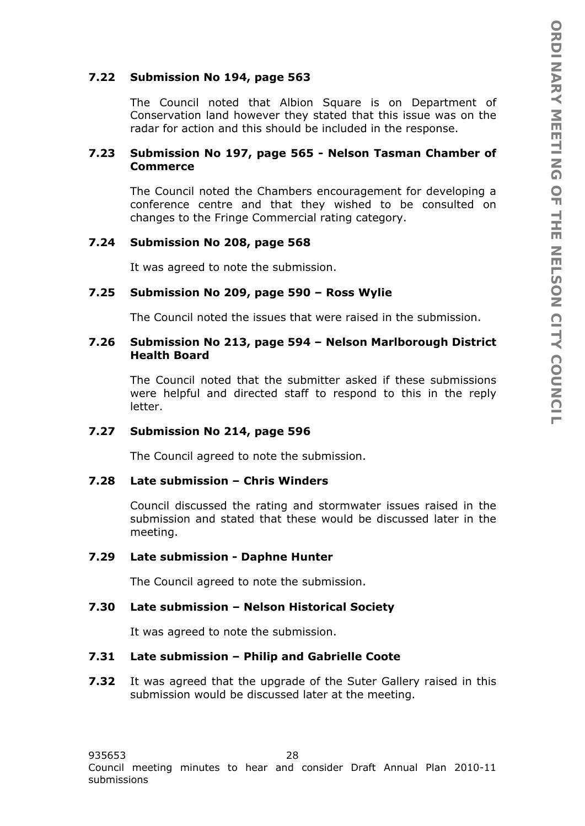# **7.22 Submission No 194, page 563**

The Council noted that Albion Square is on Department of Conservation land however they stated that this issue was on the radar for action and this should be included in the response.

# **7.23 Submission No 197, page 565 - Nelson Tasman Chamber of Commerce**

The Council noted the Chambers encouragement for developing a conference centre and that they wished to be consulted on changes to the Fringe Commercial rating category.

# **7.24 Submission No 208, page 568**

It was agreed to note the submission.

# **7.25 Submission No 209, page 590 – Ross Wylie**

The Council noted the issues that were raised in the submission.

#### **7.26 Submission No 213, page 594 – Nelson Marlborough District Health Board**

The Council noted that the submitter asked if these submissions were helpful and directed staff to respond to this in the reply letter.

### **7.27 Submission No 214, page 596**

The Council agreed to note the submission.

### **7.28 Late submission – Chris Winders**

Council discussed the rating and stormwater issues raised in the submission and stated that these would be discussed later in the meeting.

## **7.29 Late submission - Daphne Hunter**

The Council agreed to note the submission.

# **7.30 Late submission – Nelson Historical Society**

It was agreed to note the submission.

### **7.31 Late submission – Philip and Gabrielle Coote**

**7.32** It was agreed that the upgrade of the Suter Gallery raised in this submission would be discussed later at the meeting.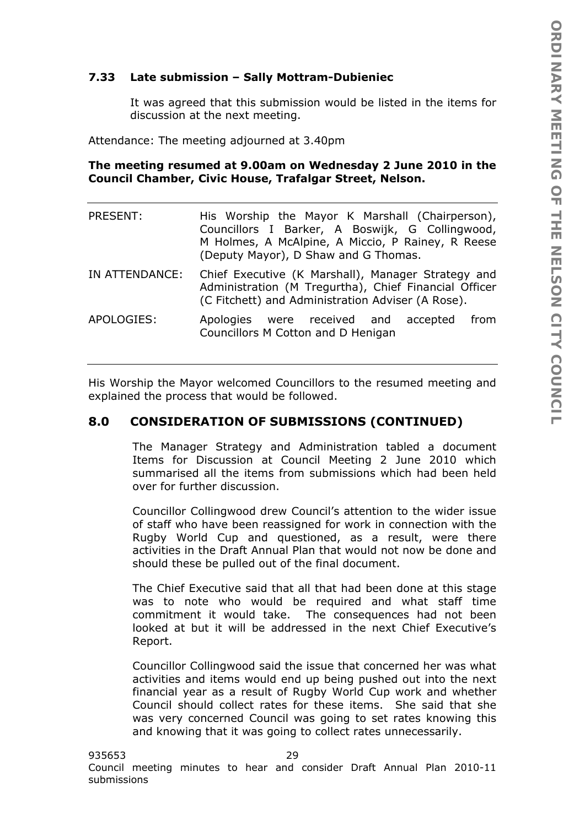# **7.33 Late submission – Sally Mottram-Dubieniec**

It was agreed that this submission would be listed in the items for discussion at the next meeting.

Attendance: The meeting adjourned at 3.40pm

# **The meeting resumed at 9.00am on Wednesday 2 June 2010 in the Council Chamber, Civic House, Trafalgar Street, Nelson.**

| PRESENT:       | His Worship the Mayor K Marshall (Chairperson),<br>Councillors I Barker, A Boswijk, G Collingwood,<br>M Holmes, A McAlpine, A Miccio, P Rainey, R Reese<br>(Deputy Mayor), D Shaw and G Thomas. |
|----------------|-------------------------------------------------------------------------------------------------------------------------------------------------------------------------------------------------|
| IN ATTENDANCE: | Chief Executive (K Marshall), Manager Strategy and<br>Administration (M Tregurtha), Chief Financial Officer<br>(C Fitchett) and Administration Adviser (A Rose).                                |
| APOLOGIES:     | Apologies were received and accepted<br>from<br>Councillors M Cotton and D Henigan                                                                                                              |

His Worship the Mayor welcomed Councillors to the resumed meeting and explained the process that would be followed.

# **8.0 CONSIDERATION OF SUBMISSIONS (CONTINUED)**

The Manager Strategy and Administration tabled a document Items for Discussion at Council Meeting 2 June 2010 which summarised all the items from submissions which had been held over for further discussion.

Councillor Collingwood drew Council's attention to the wider issue of staff who have been reassigned for work in connection with the Rugby World Cup and questioned, as a result, were there activities in the Draft Annual Plan that would not now be done and should these be pulled out of the final document.

The Chief Executive said that all that had been done at this stage was to note who would be required and what staff time commitment it would take. The consequences had not been looked at but it will be addressed in the next Chief Executive's Report.

Councillor Collingwood said the issue that concerned her was what activities and items would end up being pushed out into the next financial year as a result of Rugby World Cup work and whether Council should collect rates for these items. She said that she was very concerned Council was going to set rates knowing this and knowing that it was going to collect rates unnecessarily.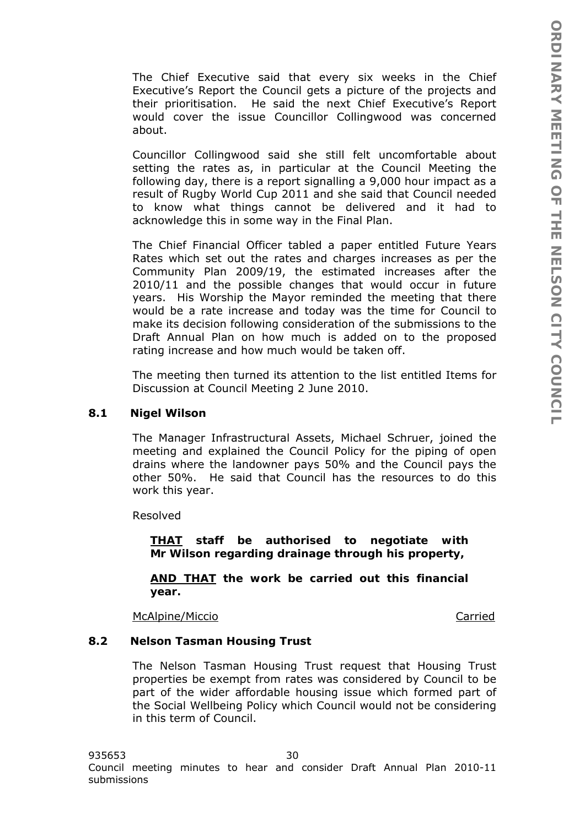The Chief Executive said that every six weeks in the Chief Executive's Report the Council gets a picture of the projects and their prioritisation. He said the next Chief Executive's Report would cover the issue Councillor Collingwood was concerned about.

Councillor Collingwood said she still felt uncomfortable about setting the rates as, in particular at the Council Meeting the following day, there is a report signalling a 9,000 hour impact as a result of Rugby World Cup 2011 and she said that Council needed to know what things cannot be delivered and it had to acknowledge this in some way in the Final Plan.

The Chief Financial Officer tabled a paper entitled Future Years Rates which set out the rates and charges increases as per the Community Plan 2009/19, the estimated increases after the 2010/11 and the possible changes that would occur in future years. His Worship the Mayor reminded the meeting that there would be a rate increase and today was the time for Council to make its decision following consideration of the submissions to the Draft Annual Plan on how much is added on to the proposed rating increase and how much would be taken off.

The meeting then turned its attention to the list entitled Items for Discussion at Council Meeting 2 June 2010.

#### **8.1 Nigel Wilson**

The Manager Infrastructural Assets, Michael Schruer, joined the meeting and explained the Council Policy for the piping of open drains where the landowner pays 50% and the Council pays the other 50%. He said that Council has the resources to do this work this year.

Resolved

*THAT staff be authorised to negotiate with Mr Wilson regarding drainage through his property,* 

*AND THAT the work be carried out this financial year.* 

McAlpine/Miccio Carried

#### **8.2 Nelson Tasman Housing Trust**

The Nelson Tasman Housing Trust request that Housing Trust properties be exempt from rates was considered by Council to be part of the wider affordable housing issue which formed part of the Social Wellbeing Policy which Council would not be considering in this term of Council.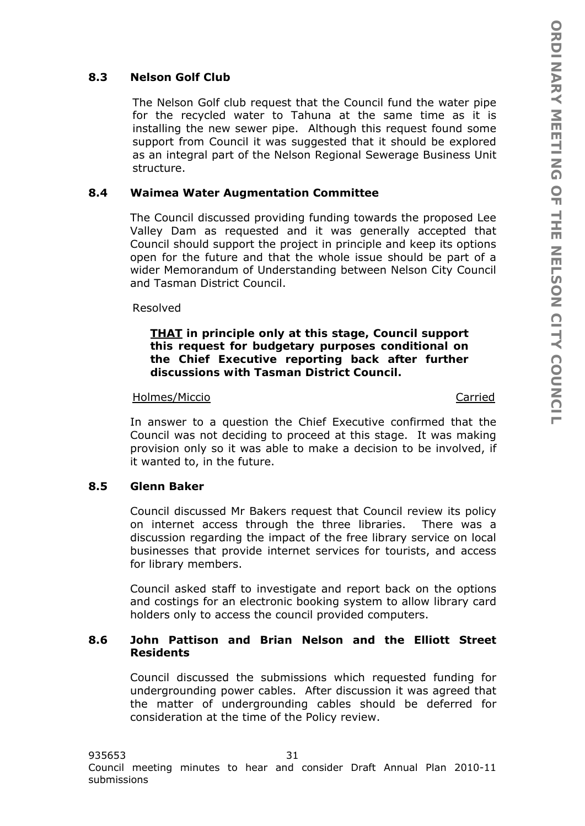# **8.3 Nelson Golf Club**

The Nelson Golf club request that the Council fund the water pipe for the recycled water to Tahuna at the same time as it is installing the new sewer pipe. Although this request found some support from Council it was suggested that it should be explored as an integral part of the Nelson Regional Sewerage Business Unit structure.

#### **8.4 Waimea Water Augmentation Committee**

The Council discussed providing funding towards the proposed Lee Valley Dam as requested and it was generally accepted that Council should support the project in principle and keep its options open for the future and that the whole issue should be part of a wider Memorandum of Understanding between Nelson City Council and Tasman District Council.

#### Resolved

#### *THAT in principle only at this stage, Council support this request for budgetary purposes conditional on the Chief Executive reporting back after further discussions with Tasman District Council.*

#### Holmes/Miccio Carried

In answer to a question the Chief Executive confirmed that the Council was not deciding to proceed at this stage. It was making provision only so it was able to make a decision to be involved, if it wanted to, in the future.

#### **8.5 Glenn Baker**

Council discussed Mr Bakers request that Council review its policy on internet access through the three libraries. There was a discussion regarding the impact of the free library service on local businesses that provide internet services for tourists, and access for library members.

Council asked staff to investigate and report back on the options and costings for an electronic booking system to allow library card holders only to access the council provided computers.

# **8.6 John Pattison and Brian Nelson and the Elliott Street Residents**

Council discussed the submissions which requested funding for undergrounding power cables. After discussion it was agreed that the matter of undergrounding cables should be deferred for consideration at the time of the Policy review.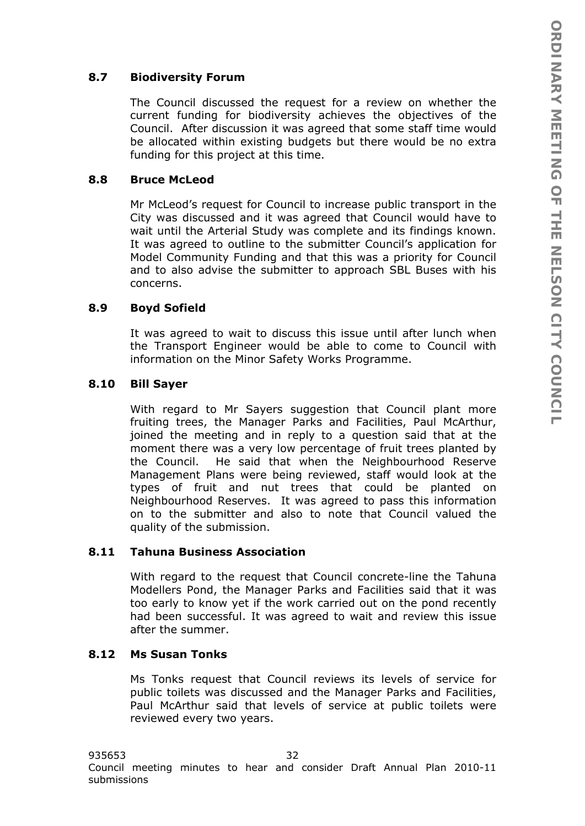# **8.7 Biodiversity Forum**

The Council discussed the request for a review on whether the current funding for biodiversity achieves the objectives of the Council. After discussion it was agreed that some staff time would be allocated within existing budgets but there would be no extra funding for this project at this time.

## **8.8 Bruce McLeod**

Mr McLeod's request for Council to increase public transport in the City was discussed and it was agreed that Council would have to wait until the Arterial Study was complete and its findings known. It was agreed to outline to the submitter Council's application for Model Community Funding and that this was a priority for Council and to also advise the submitter to approach SBL Buses with his concerns.

# **8.9 Boyd Sofield**

It was agreed to wait to discuss this issue until after lunch when the Transport Engineer would be able to come to Council with information on the Minor Safety Works Programme.

# **8.10 Bill Sayer**

With regard to Mr Sayers suggestion that Council plant more fruiting trees, the Manager Parks and Facilities, Paul McArthur, joined the meeting and in reply to a question said that at the moment there was a very low percentage of fruit trees planted by the Council. He said that when the Neighbourhood Reserve Management Plans were being reviewed, staff would look at the types of fruit and nut trees that could be planted on Neighbourhood Reserves. It was agreed to pass this information on to the submitter and also to note that Council valued the quality of the submission.

### **8.11 Tahuna Business Association**

With regard to the request that Council concrete-line the Tahuna Modellers Pond, the Manager Parks and Facilities said that it was too early to know yet if the work carried out on the pond recently had been successful. It was agreed to wait and review this issue after the summer.

## **8.12 Ms Susan Tonks**

Ms Tonks request that Council reviews its levels of service for public toilets was discussed and the Manager Parks and Facilities, Paul McArthur said that levels of service at public toilets were reviewed every two years.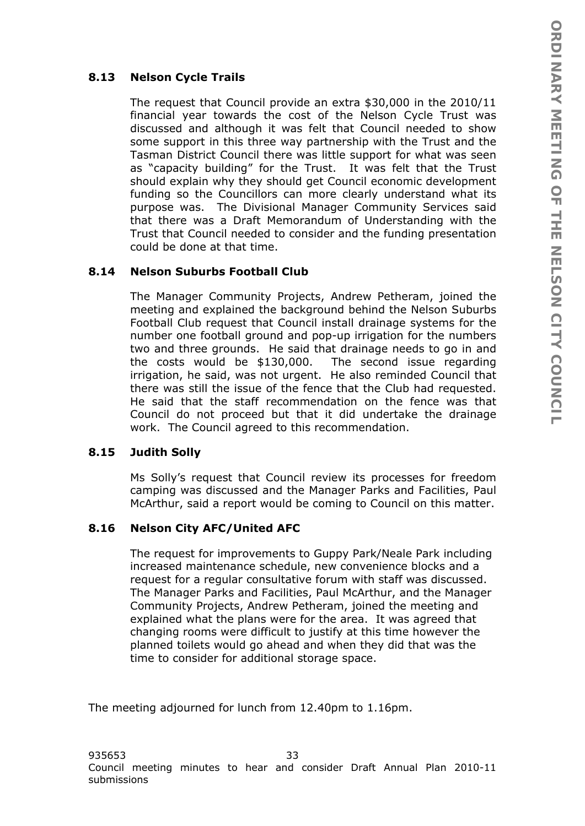# **8.13 Nelson Cycle Trails**

The request that Council provide an extra \$30,000 in the 2010/11 financial year towards the cost of the Nelson Cycle Trust was discussed and although it was felt that Council needed to show some support in this three way partnership with the Trust and the Tasman District Council there was little support for what was seen as "capacity building" for the Trust. It was felt that the Trust should explain why they should get Council economic development funding so the Councillors can more clearly understand what its purpose was. The Divisional Manager Community Services said that there was a Draft Memorandum of Understanding with the Trust that Council needed to consider and the funding presentation could be done at that time.

# **8.14 Nelson Suburbs Football Club**

The Manager Community Projects, Andrew Petheram, joined the meeting and explained the background behind the Nelson Suburbs Football Club request that Council install drainage systems for the number one football ground and pop-up irrigation for the numbers two and three grounds. He said that drainage needs to go in and the costs would be \$130,000. The second issue regarding irrigation, he said, was not urgent. He also reminded Council that there was still the issue of the fence that the Club had requested. He said that the staff recommendation on the fence was that Council do not proceed but that it did undertake the drainage work. The Council agreed to this recommendation.

# **8.15 Judith Solly**

Ms Solly's request that Council review its processes for freedom camping was discussed and the Manager Parks and Facilities, Paul McArthur, said a report would be coming to Council on this matter.

# **8.16 Nelson City AFC/United AFC**

The request for improvements to Guppy Park/Neale Park including increased maintenance schedule, new convenience blocks and a request for a regular consultative forum with staff was discussed. The Manager Parks and Facilities, Paul McArthur, and the Manager Community Projects, Andrew Petheram, joined the meeting and explained what the plans were for the area. It was agreed that changing rooms were difficult to justify at this time however the planned toilets would go ahead and when they did that was the time to consider for additional storage space.

The meeting adjourned for lunch from 12.40pm to 1.16pm.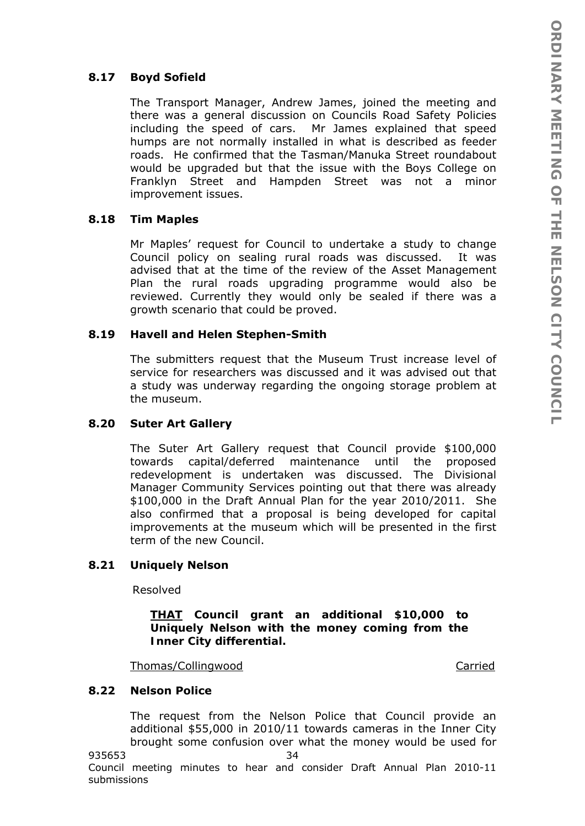# **8.17 Boyd Sofield**

The Transport Manager, Andrew James, joined the meeting and there was a general discussion on Councils Road Safety Policies including the speed of cars. Mr James explained that speed humps are not normally installed in what is described as feeder roads. He confirmed that the Tasman/Manuka Street roundabout would be upgraded but that the issue with the Boys College on Franklyn Street and Hampden Street was not a minor improvement issues.

# **8.18 Tim Maples**

Mr Maples' request for Council to undertake a study to change Council policy on sealing rural roads was discussed. It was advised that at the time of the review of the Asset Management Plan the rural roads upgrading programme would also be reviewed. Currently they would only be sealed if there was a growth scenario that could be proved.

# **8.19 Havell and Helen Stephen-Smith**

The submitters request that the Museum Trust increase level of service for researchers was discussed and it was advised out that a study was underway regarding the ongoing storage problem at the museum.

### **8.20 Suter Art Gallery**

The Suter Art Gallery request that Council provide \$100,000 towards capital/deferred maintenance until the proposed redevelopment is undertaken was discussed. The Divisional Manager Community Services pointing out that there was already \$100,000 in the Draft Annual Plan for the year 2010/2011. She also confirmed that a proposal is being developed for capital improvements at the museum which will be presented in the first term of the new Council.

### **8.21 Uniquely Nelson**

Resolved

*THAT Council grant an additional \$10,000 to Uniquely Nelson with the money coming from the Inner City differential.* 

Thomas/Collingwood Carried

### **8.22 Nelson Police**

The request from the Nelson Police that Council provide an additional \$55,000 in 2010/11 towards cameras in the Inner City brought some confusion over what the money would be used for

935653 34 Council meeting minutes to hear and consider Draft Annual Plan 2010-11 submissions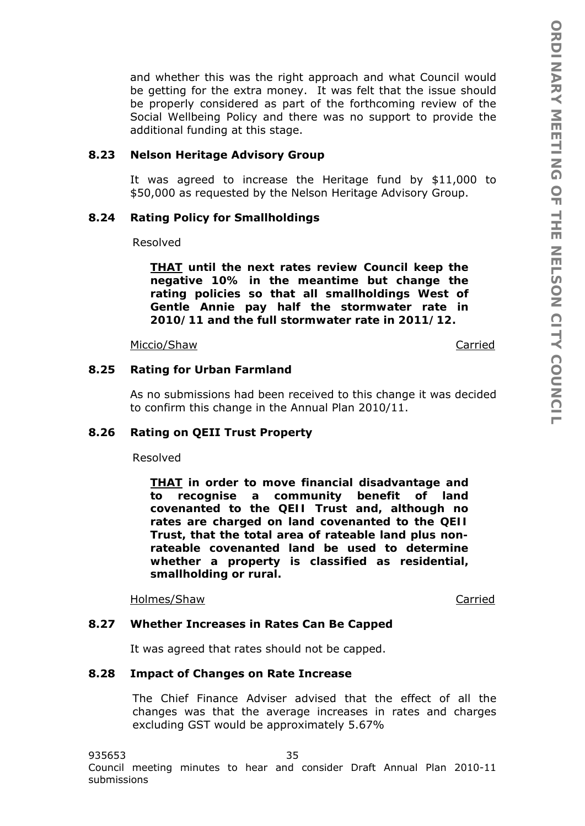and whether this was the right approach and what Council would be getting for the extra money. It was felt that the issue should be properly considered as part of the forthcoming review of the Social Wellbeing Policy and there was no support to provide the additional funding at this stage.

#### **8.23 Nelson Heritage Advisory Group**

It was agreed to increase the Heritage fund by \$11,000 to \$50,000 as requested by the Nelson Heritage Advisory Group.

#### **8.24 Rating Policy for Smallholdings**

Resolved

*THAT until the next rates review Council keep the negative 10% in the meantime but change the rating policies so that all smallholdings West of Gentle Annie pay half the stormwater rate in 2010/11 and the full stormwater rate in 2011/12.* 

Miccio/Shaw Carried

#### **8.25 Rating for Urban Farmland**

As no submissions had been received to this change it was decided to confirm this change in the Annual Plan 2010/11.

#### **8.26 Rating on QEII Trust Property**

Resolved

*THAT in order to move financial disadvantage and to recognise a community benefit of land covenanted to the QEII Trust and, although no rates are charged on land covenanted to the QEII Trust, that the total area of rateable land plus nonrateable covenanted land be used to determine whether a property is classified as residential, smallholding or rural.* 

Holmes/Shaw Carried

#### **8.27 Whether Increases in Rates Can Be Capped**

It was agreed that rates should not be capped.

#### **8.28 Impact of Changes on Rate Increase**

The Chief Finance Adviser advised that the effect of all the changes was that the average increases in rates and charges excluding GST would be approximately 5.67%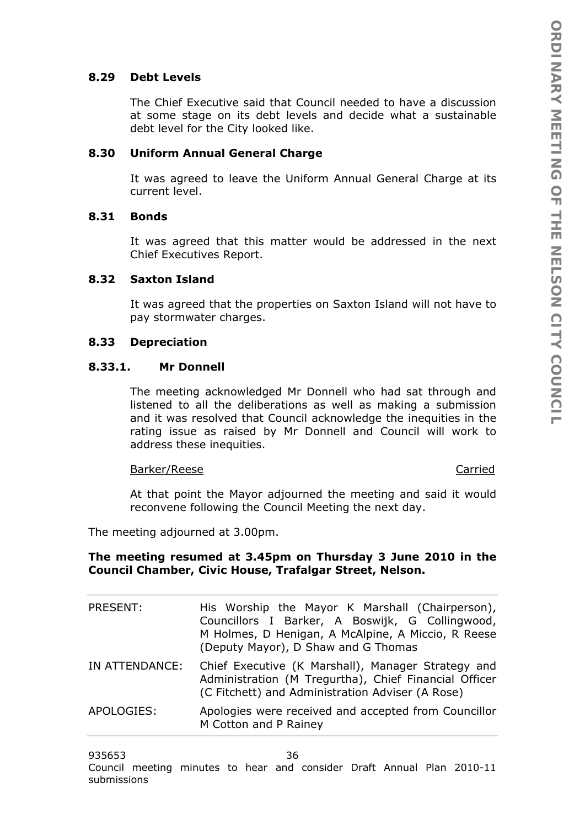# **8.29 Debt Levels**

The Chief Executive said that Council needed to have a discussion at some stage on its debt levels and decide what a sustainable debt level for the City looked like.

#### **8.30 Uniform Annual General Charge**

It was agreed to leave the Uniform Annual General Charge at its current level.

#### **8.31 Bonds**

It was agreed that this matter would be addressed in the next Chief Executives Report.

#### **8.32 Saxton Island**

It was agreed that the properties on Saxton Island will not have to pay stormwater charges.

#### **8.33 Depreciation**

#### **8.33.1. Mr Donnell**

The meeting acknowledged Mr Donnell who had sat through and listened to all the deliberations as well as making a submission and it was resolved that Council acknowledge the inequities in the rating issue as raised by Mr Donnell and Council will work to address these inequities.

#### Barker/Reese Carried

At that point the Mayor adjourned the meeting and said it would reconvene following the Council Meeting the next day.

The meeting adjourned at 3.00pm.

#### **The meeting resumed at 3.45pm on Thursday 3 June 2010 in the Council Chamber, Civic House, Trafalgar Street, Nelson.**

| PRESENT:       | His Worship the Mayor K Marshall (Chairperson),<br>Councillors I Barker, A Boswijk, G Collingwood,<br>M Holmes, D Henigan, A McAlpine, A Miccio, R Reese<br>(Deputy Mayor), D Shaw and G Thomas |
|----------------|-------------------------------------------------------------------------------------------------------------------------------------------------------------------------------------------------|
| IN ATTENDANCE: | Chief Executive (K Marshall), Manager Strategy and<br>Administration (M Tregurtha), Chief Financial Officer<br>(C Fitchett) and Administration Adviser (A Rose)                                 |
| APOLOGIES:     | Apologies were received and accepted from Councillor<br>M Cotton and P Rainey                                                                                                                   |